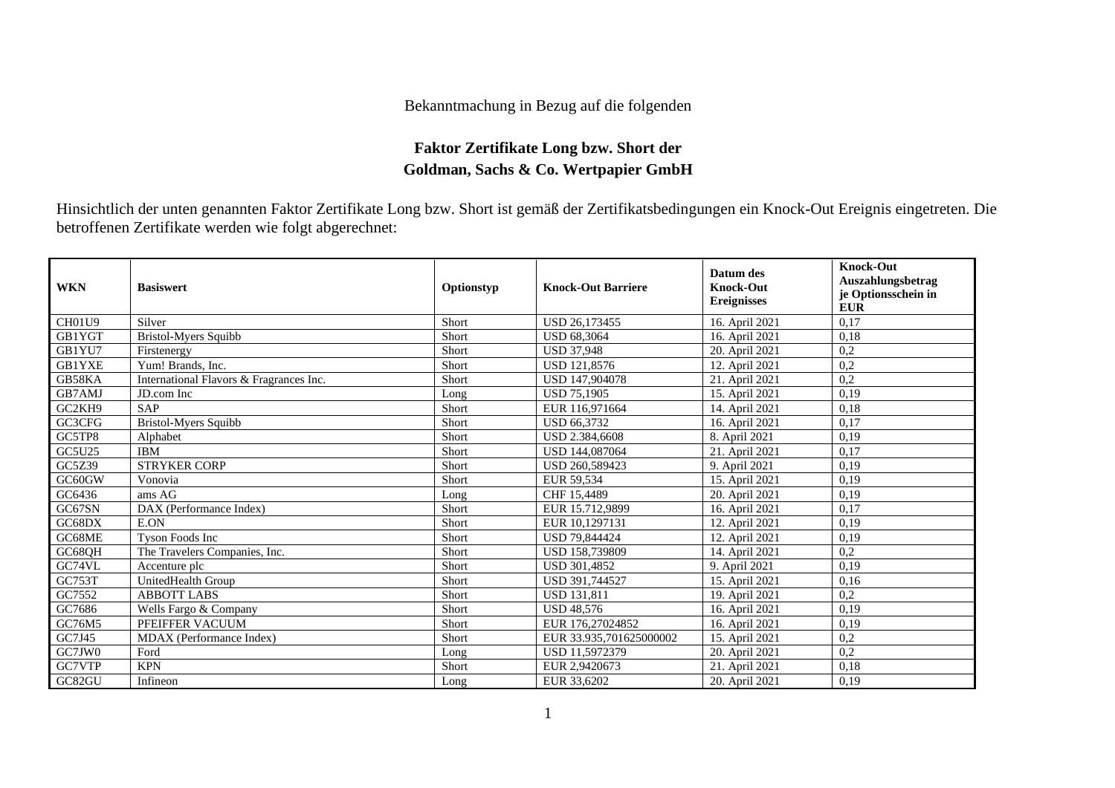## Bekanntmachung in Bezug auf die folgenden

## **Faktor Zertifikate Long bzw. Short der Goldman, Sachs & Co. Wertpapier GmbH**

Hinsichtlich der unten genannten Faktor Zertifikate Long bzw. Short ist gemäß der Zertifikatsbedingungen ein Knock-Out Ereignis eingetreten. Die betroffenen Zertifikate werden wie folgt abgerechnet:

| <b>WKN</b>    | <b>Basiswert</b>                        | Optionstyp | <b>Knock-Out Barriere</b> | Datum des<br><b>Knock-Out</b><br><b>Ereignisses</b> | <b>Knock-Out</b><br>Auszahlungsbetrag<br>je Optionsschein in<br><b>EUR</b> |
|---------------|-----------------------------------------|------------|---------------------------|-----------------------------------------------------|----------------------------------------------------------------------------|
| <b>CH01U9</b> | Silver                                  | Short      | USD 26.173455             | 16. April 2021                                      | 0.17                                                                       |
| GB1YGT        | Bristol-Myers Squibb                    | Short      | <b>USD 68.3064</b>        | 16. April 2021                                      | 0.18                                                                       |
| GB1YU7        | Firstenergy                             | Short      | <b>USD 37,948</b>         | 20. April 2021                                      | 0,2                                                                        |
| <b>GB1YXE</b> | Yum! Brands, Inc.                       | Short      | USD 121,8576              | 12. April 2021                                      | 0,2                                                                        |
| GB58KA        | International Flavors & Fragrances Inc. | Short      | USD 147,904078            | 21. April 2021                                      | 0,2                                                                        |
| GB7AMJ        | JD.com Inc                              | Long       | <b>USD 75.1905</b>        | 15. April 2021                                      | 0.19                                                                       |
| GC2KH9        | <b>SAP</b>                              | Short      | EUR 116,971664            | 14. April 2021                                      | 0,18                                                                       |
| GC3CFG        | <b>Bristol-Myers Squibb</b>             | Short      | USD 66,3732               | 16. April 2021                                      | 0,17                                                                       |
| GC5TP8        | Alphabet                                | Short      | USD 2.384,6608            | 8. April 2021                                       | 0,19                                                                       |
| GC5U25        | <b>IBM</b>                              | Short      | USD 144,087064            | 21. April 2021                                      | 0,17                                                                       |
| GC5Z39        | <b>STRYKER CORP</b>                     | Short      | USD 260,589423            | 9. April 2021                                       | 0,19                                                                       |
| GC60GW        | Vonovia                                 | Short      | EUR 59.534                | 15. April 2021                                      | 0.19                                                                       |
| GC6436        | ams AG                                  | Long       | CHF 15,4489               | 20. April 2021                                      | 0,19                                                                       |
| GC67SN        | DAX (Performance Index)                 | Short      | EUR 15.712.9899           | 16. April 2021                                      | 0.17                                                                       |
| GC68DX        | E.ON                                    | Short      | EUR 10,1297131            | 12. April 2021                                      | 0,19                                                                       |
| GC68ME        | Tyson Foods Inc                         | Short      | <b>USD 79.844424</b>      | 12. April 2021                                      | 0,19                                                                       |
| GC68QH        | The Travelers Companies, Inc.           | Short      | USD 158,739809            | 14. April 2021                                      | 0,2                                                                        |
| GC74VL        | Accenture plc                           | Short      | USD 301,4852              | 9. April 2021                                       | 0,19                                                                       |
| GC753T        | UnitedHealth Group                      | Short      | USD 391,744527            | 15. April 2021                                      | 0,16                                                                       |
| GC7552        | <b>ABBOTT LABS</b>                      | Short      | <b>USD 131.811</b>        | 19. April 2021                                      | 0.2                                                                        |
| GC7686        | Wells Fargo & Company                   | Short      | <b>USD 48.576</b>         | 16. April 2021                                      | 0.19                                                                       |
| GC76M5        | PFEIFFER VACUUM                         | Short      | EUR 176,27024852          | 16. April 2021                                      | 0,19                                                                       |
| GC7J45        | MDAX (Performance Index)                | Short      | EUR 33.935,701625000002   | 15. April 2021                                      | 0,2                                                                        |
| GC7JW0        | Ford                                    | Long       | USD 11,5972379            | 20. April 2021                                      | 0,2                                                                        |
| GC7VTP        | <b>KPN</b>                              | Short      | EUR 2,9420673             | 21. April 2021                                      | 0,18                                                                       |
| GC82GU        | Infineon                                | Long       | EUR 33,6202               | 20. April 2021                                      | 0,19                                                                       |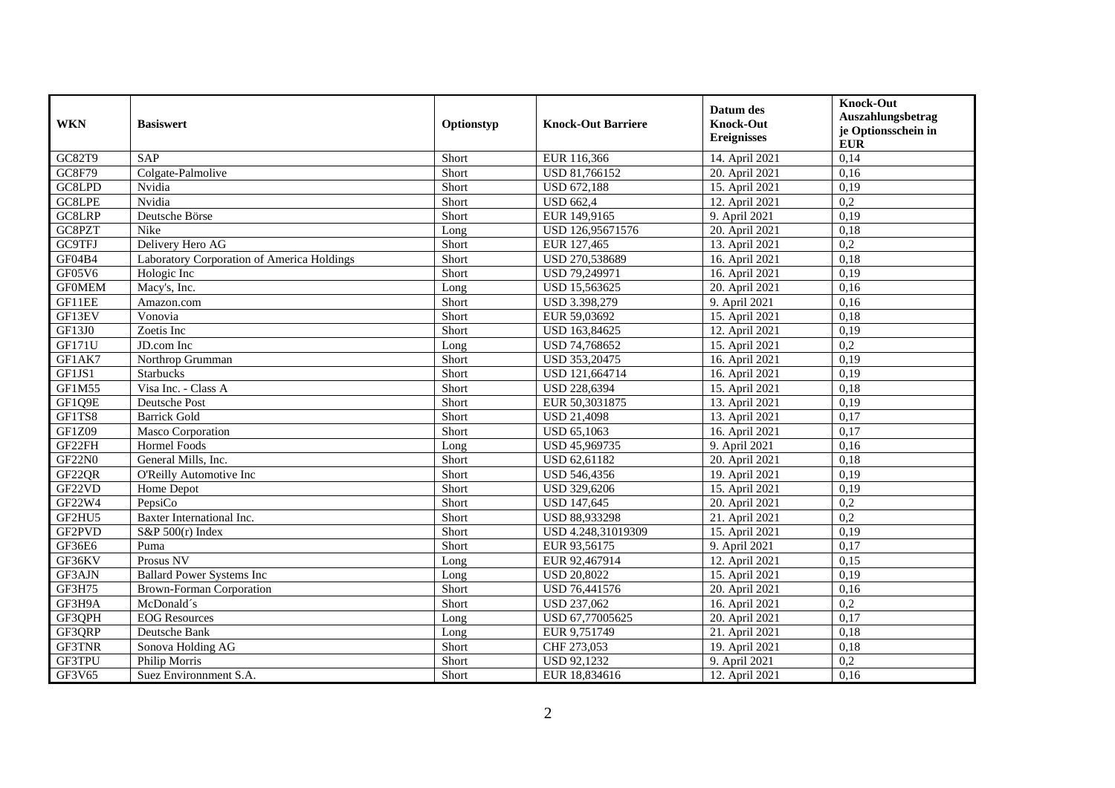| <b>WKN</b>    | <b>Basiswert</b>                           | Optionstyp | <b>Knock-Out Barriere</b> | Datum des<br><b>Knock-Out</b><br><b>Ereignisses</b> | <b>Knock-Out</b><br>Auszahlungsbetrag<br>je Optionsschein in<br><b>EUR</b> |
|---------------|--------------------------------------------|------------|---------------------------|-----------------------------------------------------|----------------------------------------------------------------------------|
| GC82T9        | <b>SAP</b>                                 | Short      | EUR 116,366               | 14. April 2021                                      | 0,14                                                                       |
| GC8F79        | Colgate-Palmolive                          | Short      | USD 81,766152             | 20. April 2021                                      | 0,16                                                                       |
| GC8LPD        | Nvidia                                     | Short      | <b>USD 672.188</b>        | 15. April 2021                                      | 0.19                                                                       |
| GC8LPE        | Nvidia                                     | Short      | <b>USD 662,4</b>          | 12. April 2021                                      | $\overline{0,2}$                                                           |
| GC8LRP        | Deutsche Börse                             | Short      | EUR 149,9165              | 9. April 2021                                       | 0,19                                                                       |
| GC8PZT        | Nike                                       | Long       | USD 126,95671576          | 20. April 2021                                      | 0,18                                                                       |
| <b>GC9TFJ</b> | Delivery Hero AG                           | Short      | EUR 127,465               | 13. April 2021                                      | 0,2                                                                        |
| GF04B4        | Laboratory Corporation of America Holdings | Short      | USD 270,538689            | 16. April 2021                                      | 0,18                                                                       |
| GF05V6        | Hologic Inc                                | Short      | USD 79,249971             | 16. April 2021                                      | 0,19                                                                       |
| <b>GFOMEM</b> | Macy's, Inc.                               | Long       | USD 15,563625             | 20. April 2021                                      | 0,16                                                                       |
| GF11EE        | Amazon.com                                 | Short      | USD 3.398,279             | 9. April 2021                                       | 0,16                                                                       |
| GF13EV        | Vonovia                                    | Short      | EUR 59,03692              | 15. April 2021                                      | 0,18                                                                       |
| GF13J0        | Zoetis Inc                                 | Short      | USD 163,84625             | 12. April 2021                                      | 0,19                                                                       |
| <b>GF171U</b> | JD.com Inc                                 | Long       | USD 74,768652             | 15. April 2021                                      | 0,2                                                                        |
| GF1AK7        | Northrop Grumman                           | Short      | USD 353,20475             | 16. April 2021                                      | 0,19                                                                       |
| GF1JS1        | Starbucks                                  | Short      | USD 121,664714            | 16. April 2021                                      | 0,19                                                                       |
| GF1M55        | Visa Inc. - Class A                        | Short      | <b>USD 228,6394</b>       | 15. April 2021                                      | 0,18                                                                       |
| GF1Q9E        | Deutsche Post                              | Short      | EUR 50,3031875            | 13. April 2021                                      | 0,19                                                                       |
| GF1TS8        | <b>Barrick Gold</b>                        | Short      | <b>USD 21,4098</b>        | 13. April 2021                                      | 0,17                                                                       |
| GF1Z09        | Masco Corporation                          | Short      | <b>USD 65,1063</b>        | 16. April 2021                                      | 0,17                                                                       |
| GF22FH        | <b>Hormel Foods</b>                        | Long       | USD 45,969735             | 9. April 2021                                       | 0,16                                                                       |
| <b>GF22N0</b> | General Mills, Inc.                        | Short      | USD 62,61182              | 20. April 2021                                      | 0,18                                                                       |
| GF22QR        | O'Reilly Automotive Inc                    | Short      | USD 546,4356              | 19. April 2021                                      | 0,19                                                                       |
| GF22VD        | Home Depot                                 | Short      | USD 329,6206              | 15. April 2021                                      | 0,19                                                                       |
| GF22W4        | PepsiCo                                    | Short      | USD 147,645               | 20. April 2021                                      | 0,2                                                                        |
| GF2HU5        | Baxter International Inc.                  | Short      | USD 88,933298             | 21. April 2021                                      | 0,2                                                                        |
| GF2PVD        | $S\&P 500(r)$ Index                        | Short      | USD 4.248,31019309        | 15. April 2021                                      | 0,19                                                                       |
| GF36E6        | Puma                                       | Short      | EUR 93,56175              | 9. April 2021                                       | 0,17                                                                       |
| GF36KV        | Prosus NV                                  | Long       | EUR 92,467914             | 12. April 2021                                      | 0,15                                                                       |
| GF3AJN        | <b>Ballard Power Systems Inc</b>           | Long       | <b>USD 20,8022</b>        | 15. April 2021                                      | 0,19                                                                       |
| GF3H75        | <b>Brown-Forman Corporation</b>            | Short      | USD 76,441576             | 20. April 2021                                      | 0,16                                                                       |
| GF3H9A        | McDonald's                                 | Short      | <b>USD 237,062</b>        | 16. April 2021                                      | $\overline{0.2}$                                                           |
| GF3QPH        | <b>EOG</b> Resources                       | Long       | USD 67,77005625           | 20. April 2021                                      | 0,17                                                                       |
| GF3QRP        | Deutsche Bank                              | Long       | EUR 9,751749              | 21. April 2021                                      | 0,18                                                                       |
| GF3TNR        | Sonova Holding AG                          | Short      | CHF 273,053               | 19. April 2021                                      | 0,18                                                                       |
| GF3TPU        | Philip Morris                              | Short      | USD 92,1232               | 9. April 2021                                       | 0,2                                                                        |
| GF3V65        | Suez Environment S.A.                      | Short      | EUR 18,834616             | 12. April 2021                                      | 0,16                                                                       |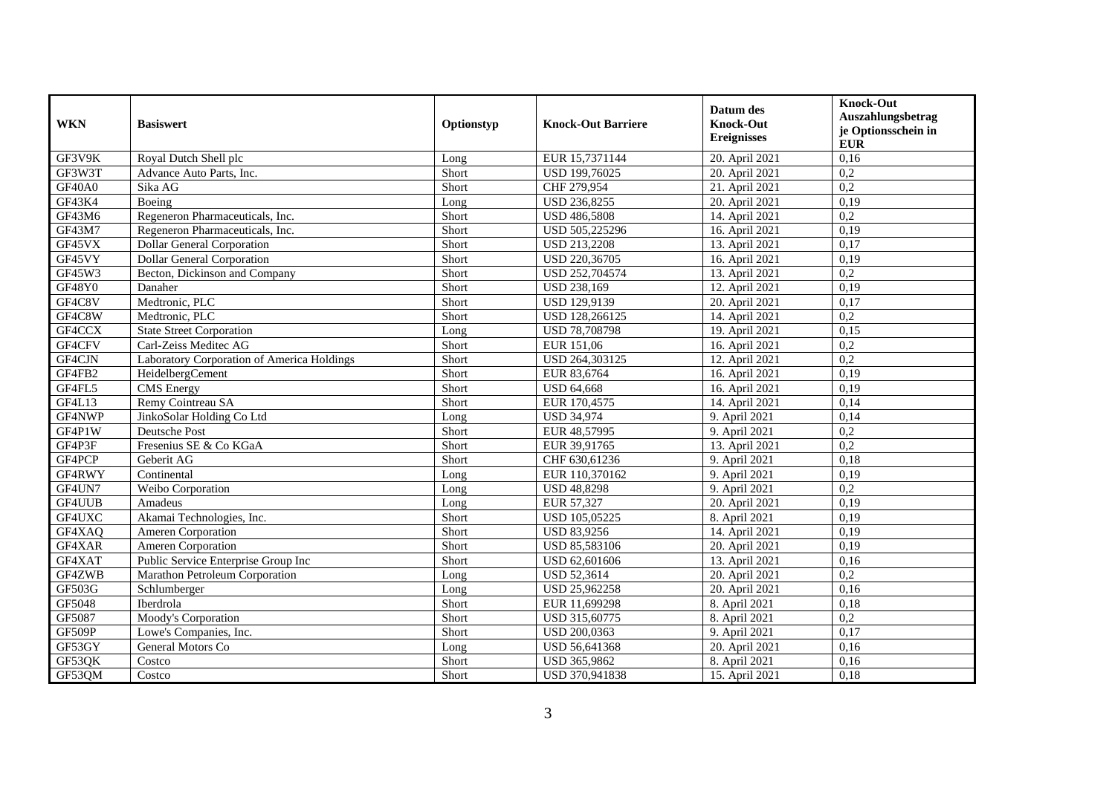| <b>WKN</b> | <b>Basiswert</b>                           | Optionstyp | <b>Knock-Out Barriere</b> | Datum des<br><b>Knock-Out</b><br><b>Ereignisses</b> | <b>Knock-Out</b><br>Auszahlungsbetrag<br>je Optionsschein in<br><b>EUR</b> |
|------------|--------------------------------------------|------------|---------------------------|-----------------------------------------------------|----------------------------------------------------------------------------|
| GF3V9K     | Royal Dutch Shell plc                      | Long       | EUR 15,7371144            | 20. April 2021                                      | 0,16                                                                       |
| GF3W3T     | Advance Auto Parts, Inc.                   | Short      | USD 199,76025             | 20. April 2021                                      | 0,2                                                                        |
| GF40A0     | Sika AG                                    | Short      | CHF 279,954               | 21. April 2021                                      | $\overline{0.2}$                                                           |
| GF43K4     | Boeing                                     | Long       | USD 236,8255              | 20. April 2021                                      | 0,19                                                                       |
| GF43M6     | Regeneron Pharmaceuticals, Inc.            | Short      | <b>USD 486,5808</b>       | 14. April 2021                                      | 0,2                                                                        |
| GF43M7     | Regeneron Pharmaceuticals, Inc.            | Short      | USD 505,225296            | 16. April 2021                                      | 0,19                                                                       |
| GF45VX     | <b>Dollar General Corporation</b>          | Short      | <b>USD 213,2208</b>       | 13. April 2021                                      | 0.17                                                                       |
| GF45VY     | <b>Dollar General Corporation</b>          | Short      | USD 220,36705             | 16. April 2021                                      | 0,19                                                                       |
| GF45W3     | Becton, Dickinson and Company              | Short      | USD 252,704574            | 13. April 2021                                      | $\overline{0.2}$                                                           |
| GF48Y0     | Danaher                                    | Short      | <b>USD 238,169</b>        | 12. April 2021                                      | 0,19                                                                       |
| GF4C8V     | Medtronic, PLC                             | Short      | USD 129,9139              | 20. April 2021                                      | 0,17                                                                       |
| GF4C8W     | Medtronic, PLC                             | Short      | USD 128,266125            | 14. April 2021                                      | 0,2                                                                        |
| GF4CCX     | <b>State Street Corporation</b>            | Long       | <b>USD 78,708798</b>      | 19. April 2021                                      | 0.15                                                                       |
| GF4CFV     | Carl-Zeiss Meditec AG                      | Short      | EUR 151,06                | 16. April 2021                                      | 0,2                                                                        |
| GF4CJN     | Laboratory Corporation of America Holdings | Short      | USD 264,303125            | 12. April 2021                                      | 0,2                                                                        |
| GF4FB2     | HeidelbergCement                           | Short      | EUR 83,6764               | 16. April 2021                                      | 0,19                                                                       |
| GF4FL5     | <b>CMS</b> Energy                          | Short      | <b>USD 64.668</b>         | 16. April 2021                                      | 0.19                                                                       |
| GF4L13     | Remy Cointreau SA                          | Short      | EUR 170,4575              | 14. April 2021                                      | 0,14                                                                       |
| GF4NWP     | JinkoSolar Holding Co Ltd                  | Long       | <b>USD 34,974</b>         | 9. April 2021                                       | 0,14                                                                       |
| GF4P1W     | Deutsche Post                              | Short      | EUR 48,57995              | 9. April 2021                                       | 0,2                                                                        |
| GF4P3F     | Fresenius SE & Co KGaA                     | Short      | EUR 39,91765              | 13. April 2021                                      | 0,2                                                                        |
| GF4PCP     | Geberit AG                                 | Short      | CHF 630,61236             | 9. April 2021                                       | 0,18                                                                       |
| GF4RWY     | Continental                                | Long       | EUR 110,370162            | 9. April 2021                                       | 0,19                                                                       |
| GF4UN7     | Weibo Corporation                          | Long       | <b>USD 48,8298</b>        | 9. April 2021                                       | 0,2                                                                        |
| GF4UUB     | Amadeus                                    | Long       | EUR 57,327                | 20. April 2021                                      | 0,19                                                                       |
| GF4UXC     | Akamai Technologies, Inc.                  | Short      | USD 105,05225             | 8. April 2021                                       | 0,19                                                                       |
| GF4XAQ     | <b>Ameren Corporation</b>                  | Short      | <b>USD 83,9256</b>        | 14. April 2021                                      | 0,19                                                                       |
| GF4XAR     | Ameren Corporation                         | Short      | USD 85,583106             | 20. April 2021                                      | 0,19                                                                       |
| GF4XAT     | Public Service Enterprise Group Inc        | Short      | USD 62,601606             | 13. April 2021                                      | 0,16                                                                       |
| GF4ZWB     | Marathon Petroleum Corporation             | Long       | USD 52,3614               | 20. April 2021                                      | 0,2                                                                        |
| GF503G     | Schlumberger                               | Long       | USD 25,962258             | 20. April 2021                                      | 0,16                                                                       |
| GF5048     | Iberdrola                                  | Short      | EUR 11,699298             | 8. April 2021                                       | 0,18                                                                       |
| GF5087     | Moody's Corporation                        | Short      | USD 315,60775             | 8. April 2021                                       | $\overline{0.2}$                                                           |
| GF509P     | Lowe's Companies, Inc.                     | Short      | USD 200,0363              | 9. April 2021                                       | 0,17                                                                       |
| GF53GY     | General Motors Co                          | Long       | USD 56,641368             | 20. April 2021                                      | 0,16                                                                       |
| GF53QK     | Costco                                     | Short      | USD 365,9862              | 8. April 2021                                       | 0,16                                                                       |
| GF53QM     | Costco                                     | Short      | USD 370,941838            | 15. April 2021                                      | 0,18                                                                       |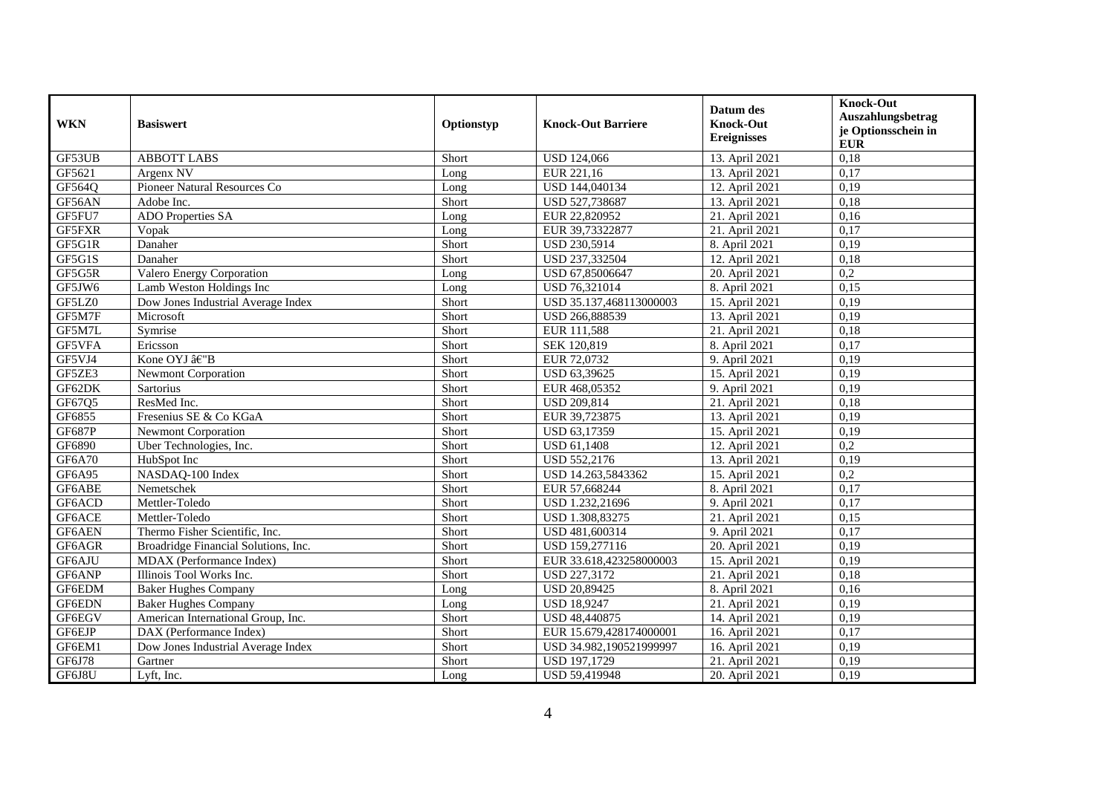| <b>WKN</b>    | <b>Basiswert</b>                     | Optionstyp | <b>Knock-Out Barriere</b> | Datum des<br><b>Knock-Out</b><br><b>Ereignisses</b> | <b>Knock-Out</b><br>Auszahlungsbetrag<br>je Optionsschein in<br><b>EUR</b> |
|---------------|--------------------------------------|------------|---------------------------|-----------------------------------------------------|----------------------------------------------------------------------------|
| GF53UB        | <b>ABBOTT LABS</b>                   | Short      | <b>USD 124,066</b>        | 13. April 2021                                      | 0,18                                                                       |
| GF5621        | Argenx NV                            | Long       | EUR 221,16                | 13. April 2021                                      | 0,17                                                                       |
| GF564Q        | Pioneer Natural Resources Co         | Long       | USD 144,040134            | 12. April 2021                                      | 0,19                                                                       |
| GF56AN        | Adobe Inc.                           | Short      | USD 527,738687            | 13. April 2021                                      | 0,18                                                                       |
| GF5FU7        | <b>ADO</b> Properties SA             | Long       | EUR 22,820952             | 21. April 2021                                      | 0,16                                                                       |
| GF5FXR        | Vopak                                | Long       | EUR 39,73322877           | 21. April 2021                                      | 0,17                                                                       |
| GF5G1R        | Danaher                              | Short      | USD 230,5914              | 8. April 2021                                       | 0,19                                                                       |
| GF5G1S        | Danaher                              | Short      | USD 237,332504            | 12. April 2021                                      | 0,18                                                                       |
| GF5G5R        | Valero Energy Corporation            | Long       | USD 67,85006647           | 20. April 2021                                      | $\overline{0,2}$                                                           |
| GF5JW6        | Lamb Weston Holdings Inc             | Long       | USD 76,321014             | 8. April 2021                                       | 0,15                                                                       |
| GF5LZ0        | Dow Jones Industrial Average Index   | Short      | USD 35.137,468113000003   | 15. April 2021                                      | 0,19                                                                       |
| GF5M7F        | Microsoft                            | Short      | USD 266,888539            | 13. April 2021                                      | 0,19                                                                       |
| GF5M7L        | Symrise                              | Short      | EUR 111,588               | 21. April 2021                                      | 0,18                                                                       |
| GF5VFA        | Ericsson                             | Short      | SEK 120,819               | 8. April 2021                                       | 0,17                                                                       |
| GF5VJ4        | Kone OYJ â€"B                        | Short      | EUR 72,0732               | 9. April 2021                                       | 0,19                                                                       |
| GF5ZE3        | <b>Newmont Corporation</b>           | Short      | USD 63,39625              | 15. April 2021                                      | 0,19                                                                       |
| GF62DK        | <b>Sartorius</b>                     | Short      | EUR 468,05352             | 9. April 2021                                       | 0,19                                                                       |
| GF67Q5        | ResMed Inc.                          | Short      | <b>USD 209,814</b>        | 21. April 2021                                      | 0,18                                                                       |
| GF6855        | Fresenius SE & Co KGaA               | Short      | EUR 39,723875             | 13. April 2021                                      | 0,19                                                                       |
| <b>GF687P</b> | <b>Newmont Corporation</b>           | Short      | USD 63,17359              | 15. April 2021                                      | 0,19                                                                       |
| GF6890        | Uber Technologies, Inc.              | Short      | USD 61,1408               | 12. April 2021                                      | 0,2                                                                        |
| <b>GF6A70</b> | HubSpot Inc                          | Short      | USD 552,2176              | 13. April 2021                                      | 0,19                                                                       |
| GF6A95        | NASDAQ-100 Index                     | Short      | USD 14.263,5843362        | 15. April 2021                                      | $\overline{0,2}$                                                           |
| GF6ABE        | Nemetschek                           | Short      | EUR 57,668244             | 8. April 2021                                       | 0,17                                                                       |
| GF6ACD        | Mettler-Toledo                       | Short      | USD 1.232,21696           | 9. April 2021                                       | 0,17                                                                       |
| GF6ACE        | Mettler-Toledo                       | Short      | USD 1.308,83275           | 21. April 2021                                      | 0.15                                                                       |
| GF6AEN        | Thermo Fisher Scientific, Inc.       | Short      | USD 481,600314            | 9. April 2021                                       | 0,17                                                                       |
| GF6AGR        | Broadridge Financial Solutions, Inc. | Short      | USD 159,277116            | 20. April 2021                                      | 0,19                                                                       |
| GF6AJU        | MDAX (Performance Index)             | Short      | EUR 33.618,423258000003   | 15. April 2021                                      | 0,19                                                                       |
| GF6ANP        | Illinois Tool Works Inc.             | Short      | USD 227,3172              | 21. April 2021                                      | 0,18                                                                       |
| GF6EDM        | <b>Baker Hughes Company</b>          | Long       | USD 20,89425              | 8. April 2021                                       | 0,16                                                                       |
| GF6EDN        | <b>Baker Hughes Company</b>          | Long       | <b>USD 18,9247</b>        | 21. April 2021                                      | 0,19                                                                       |
| GF6EGV        | American International Group, Inc.   | Short      | USD 48,440875             | 14. April 2021                                      | 0,19                                                                       |
| GF6EJP        | DAX (Performance Index)              | Short      | EUR 15.679,428174000001   | 16. April 2021                                      | 0,17                                                                       |
| GF6EM1        | Dow Jones Industrial Average Index   | Short      | USD 34.982,190521999997   | 16. April 2021                                      | 0,19                                                                       |
| GF6J78        | Gartner                              | Short      | USD 197,1729              | 21. April 2021                                      | 0,19                                                                       |
| GF6J8U        | Lyft, Inc.                           | Long       | USD 59,419948             | 20. April 2021                                      | 0,19                                                                       |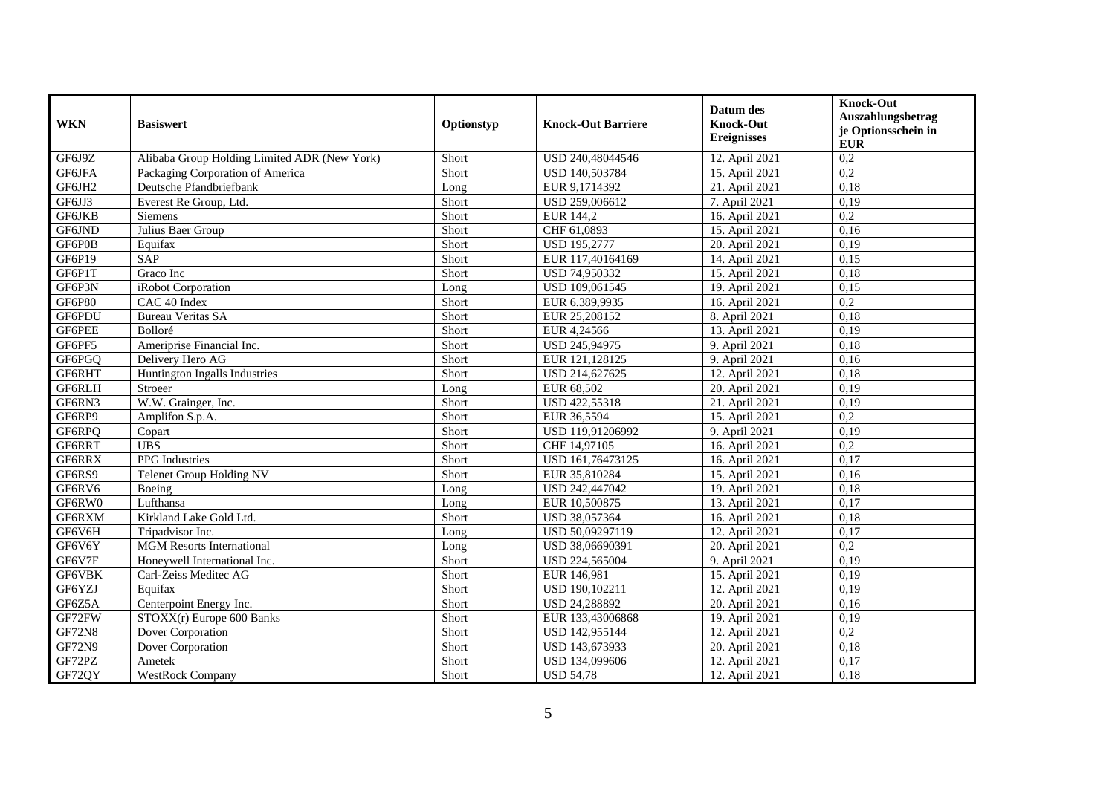| <b>WKN</b>    | <b>Basiswert</b>                             | Optionstyp | <b>Knock-Out Barriere</b> | Datum des<br><b>Knock-Out</b><br><b>Ereignisses</b> | <b>Knock-Out</b><br>Auszahlungsbetrag<br>je Optionsschein in<br><b>EUR</b> |
|---------------|----------------------------------------------|------------|---------------------------|-----------------------------------------------------|----------------------------------------------------------------------------|
| GF6J9Z        | Alibaba Group Holding Limited ADR (New York) | Short      | USD 240,48044546          | 12. April 2021                                      | 0,2                                                                        |
| GF6JFA        | Packaging Corporation of America             | Short      | USD 140,503784            | 15. April 2021                                      | 0,2                                                                        |
| GF6JH2        | Deutsche Pfandbriefbank                      | Long       | EUR 9,1714392             | 21. April 2021                                      | 0.18                                                                       |
| GF6JJ3        | Everest Re Group, Ltd.                       | Short      | USD 259,006612            | 7. April 2021                                       | 0,19                                                                       |
| GF6JKB        | <b>Siemens</b>                               | Short      | EUR 144,2                 | 16. April 2021                                      | 0,2                                                                        |
| GF6JND        | Julius Baer Group                            | Short      | CHF 61,0893               | 15. April 2021                                      | 0,16                                                                       |
| GF6P0B        | Equifax                                      | Short      | <b>USD 195,2777</b>       | 20. April 2021                                      | 0,19                                                                       |
| GF6P19        | <b>SAP</b>                                   | Short      | EUR 117,40164169          | 14. April 2021                                      | 0,15                                                                       |
| GF6P1T        | Graco Inc                                    | Short      | USD 74,950332             | 15. April 2021                                      | 0,18                                                                       |
| GF6P3N        | iRobot Corporation                           | Long       | USD 109,061545            | 19. April 2021                                      | 0.15                                                                       |
| <b>GF6P80</b> | CAC 40 Index                                 | Short      | EUR 6.389,9935            | 16. April 2021                                      | 0,2                                                                        |
| GF6PDU        | <b>Bureau Veritas SA</b>                     | Short      | EUR 25,208152             | 8. April 2021                                       | 0,18                                                                       |
| GF6PEE        | Bolloré                                      | Short      | EUR 4,24566               | 13. April 2021                                      | 0,19                                                                       |
| GF6PF5        | Ameriprise Financial Inc.                    | Short      | USD 245,94975             | 9. April 2021                                       | 0,18                                                                       |
| GF6PGQ        | Delivery Hero AG                             | Short      | EUR 121,128125            | 9. April 2021                                       | 0,16                                                                       |
| GF6RHT        | Huntington Ingalls Industries                | Short      | USD 214,627625            | 12. April 2021                                      | 0,18                                                                       |
| GF6RLH        | Stroeer                                      | Long       | EUR 68.502                | 20. April 2021                                      | 0,19                                                                       |
| GF6RN3        | W.W. Grainger, Inc.                          | Short      | USD 422,55318             | 21. April 2021                                      | 0,19                                                                       |
| GF6RP9        | Amplifon S.p.A.                              | Short      | EUR 36,5594               | 15. April 2021                                      | 0,2                                                                        |
| GF6RPQ        | Copart                                       | Short      | USD 119,91206992          | 9. April 2021                                       | 0,19                                                                       |
| GF6RRT        | <b>UBS</b>                                   | Short      | CHF 14,97105              | 16. April 2021                                      | 0,2                                                                        |
| GF6RRX        | <b>PPG</b> Industries                        | Short      | USD 161,76473125          | 16. April 2021                                      | 0,17                                                                       |
| GF6RS9        | <b>Telenet Group Holding NV</b>              | Short      | EUR 35,810284             | 15. April 2021                                      | 0,16                                                                       |
| GF6RV6        | Boeing                                       | Long       | USD 242,447042            | 19. April 2021                                      | 0,18                                                                       |
| GF6RW0        | Lufthansa                                    | Long       | EUR 10,500875             | 13. April 2021                                      | 0,17                                                                       |
| GF6RXM        | Kirkland Lake Gold Ltd.                      | Short      | USD 38,057364             | 16. April 2021                                      | 0.18                                                                       |
| GF6V6H        | Tripadvisor Inc.                             | Long       | USD 50,09297119           | 12. April 2021                                      | 0,17                                                                       |
| GF6V6Y        | <b>MGM</b> Resorts International             | Long       | USD 38,06690391           | 20. April 2021                                      | 0,2                                                                        |
| GF6V7F        | Honeywell International Inc.                 | Short      | USD 224,565004            | 9. April 2021                                       | 0,19                                                                       |
| GF6VBK        | Carl-Zeiss Meditec AG                        | Short      | EUR 146,981               | 15. April 2021                                      | 0,19                                                                       |
| GF6YZJ        | Equifax                                      | Short      | USD 190,102211            | 12. April 2021                                      | 0,19                                                                       |
| GF6Z5A        | Centerpoint Energy Inc.                      | Short      | USD 24,288892             | 20. April 2021                                      | 0,16                                                                       |
| GF72FW        | STOXX(r) Europe 600 Banks                    | Short      | EUR 133,43006868          | 19. April 2021                                      | 0,19                                                                       |
| <b>GF72N8</b> | Dover Corporation                            | Short      | USD 142,955144            | 12. April 2021                                      | 0,2                                                                        |
| <b>GF72N9</b> | Dover Corporation                            | Short      | USD 143,673933            | 20. April 2021                                      | 0,18                                                                       |
| GF72PZ        | Ametek                                       | Short      | USD 134,099606            | 12. April 2021                                      | 0,17                                                                       |
| GF72QY        | <b>WestRock Company</b>                      | Short      | <b>USD 54,78</b>          | 12. April 2021                                      | 0,18                                                                       |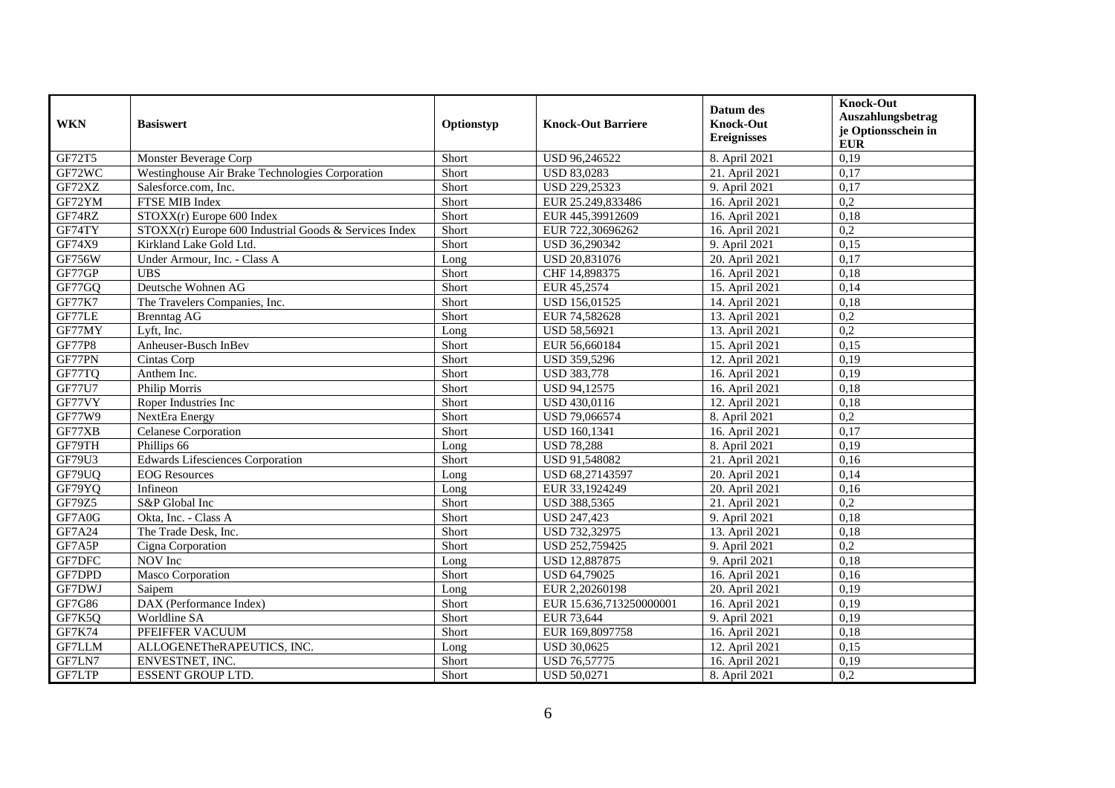| <b>WKN</b>    | <b>Basiswert</b>                                      | Optionstyp | <b>Knock-Out Barriere</b> | Datum des<br><b>Knock-Out</b><br><b>Ereignisses</b> | <b>Knock-Out</b><br>Auszahlungsbetrag<br>je Optionsschein in<br><b>EUR</b> |
|---------------|-------------------------------------------------------|------------|---------------------------|-----------------------------------------------------|----------------------------------------------------------------------------|
| GF72T5        | Monster Beverage Corp                                 | Short      | USD 96,246522             | 8. April 2021                                       | 0,19                                                                       |
| GF72WC        | Westinghouse Air Brake Technologies Corporation       | Short      | USD 83,0283               | 21. April 2021                                      | 0,17                                                                       |
| GF72XZ        | Salesforce.com. Inc.                                  | Short      | USD 229,25323             | 9. April 2021                                       | 0.17                                                                       |
| GF72YM        | FTSE MIB Index                                        | Short      | EUR 25.249,833486         | 16. April 2021                                      | $\overline{0,2}$                                                           |
| GF74RZ        | $STOXX(r)$ Europe 600 Index                           | Short      | EUR 445,39912609          | 16. April 2021                                      | 0,18                                                                       |
| GF74TY        | STOXX(r) Europe 600 Industrial Goods & Services Index | Short      | EUR 722,30696262          | 16. April 2021                                      | 0,2                                                                        |
| GF74X9        | Kirkland Lake Gold Ltd.                               | Short      | USD 36,290342             | 9. April 2021                                       | 0,15                                                                       |
| GF756W        | Under Armour, Inc. - Class A                          | Long       | USD 20,831076             | 20. April 2021                                      | 0,17                                                                       |
| GF77GP        | <b>UBS</b>                                            | Short      | CHF 14,898375             | 16. April 2021                                      | 0,18                                                                       |
| GF77GQ        | Deutsche Wohnen AG                                    | Short      | EUR 45,2574               | 15. April 2021                                      | 0,14                                                                       |
| <b>GF77K7</b> | The Travelers Companies, Inc.                         | Short      | USD 156,01525             | 14. April 2021                                      | 0,18                                                                       |
| GF77LE        | <b>Brenntag AG</b>                                    | Short      | EUR 74,582628             | 13. April 2021                                      | 0,2                                                                        |
| GF77MY        | Lyft, Inc.                                            | Long       | USD 58,56921              | 13. April 2021                                      | 0,2                                                                        |
| <b>GF77P8</b> | Anheuser-Busch InBev                                  | Short      | EUR 56,660184             | 15. April 2021                                      | 0,15                                                                       |
| GF77PN        | Cintas Corp                                           | Short      | USD 359,5296              | 12. April 2021                                      | 0,19                                                                       |
| GF77TQ        | Anthem Inc.                                           | Short      | <b>USD 383,778</b>        | 16. April 2021                                      | 0,19                                                                       |
| <b>GF77U7</b> | Philip Morris                                         | Short      | <b>USD 94.12575</b>       | 16. April 2021                                      | 0.18                                                                       |
| GF77VY        | Roper Industries Inc                                  | Short      | USD 430,0116              | 12. April 2021                                      | 0,18                                                                       |
| GF77W9        | NextEra Energy                                        | Short      | USD 79,066574             | 8. April 2021                                       | 0,2                                                                        |
| GF77XB        | <b>Celanese Corporation</b>                           | Short      | <b>USD 160,1341</b>       | 16. April 2021                                      | 0,17                                                                       |
| GF79TH        | Phillips 66                                           | Long       | <b>USD 78,288</b>         | 8. April 2021                                       | 0,19                                                                       |
| GF79U3        | <b>Edwards Lifesciences Corporation</b>               | Short      | USD 91,548082             | 21. April 2021                                      | 0,16                                                                       |
| GF79UQ        | <b>EOG</b> Resources                                  | Long       | USD 68,27143597           | 20. April 2021                                      | 0,14                                                                       |
| GF79YQ        | Infineon                                              | Long       | EUR 33,1924249            | 20. April 2021                                      | 0.16                                                                       |
| GF79Z5        | S&P Global Inc                                        | Short      | USD 388,5365              | 21. April 2021                                      | 0,2                                                                        |
| GF7A0G        | Okta, Inc. - Class A                                  | Short      | <b>USD 247,423</b>        | 9. April 2021                                       | 0,18                                                                       |
| GF7A24        | The Trade Desk, Inc.                                  | Short      | USD 732,32975             | 13. April 2021                                      | 0,18                                                                       |
| GF7A5P        | Cigna Corporation                                     | Short      | USD 252,759425            | 9. April 2021                                       | 0,2                                                                        |
| GF7DFC        | NOV Inc                                               | Long       | USD 12,887875             | 9. April 2021                                       | 0,18                                                                       |
| GF7DPD        | Masco Corporation                                     | Short      | USD 64,79025              | 16. April 2021                                      | 0,16                                                                       |
| GF7DWJ        | Saipem                                                | Long       | EUR 2.20260198            | 20. April 2021                                      | 0,19                                                                       |
| GF7G86        | DAX (Performance Index)                               | Short      | EUR 15.636,713250000001   | 16. April 2021                                      | 0,19                                                                       |
| GF7K5Q        | Worldline SA                                          | Short      | EUR 73,644                | 9. April 2021                                       | 0,19                                                                       |
| GF7K74        | PFEIFFER VACUUM                                       | Short      | EUR 169,8097758           | 16. April 2021                                      | 0,18                                                                       |
| GF7LLM        | ALLOGENETheRAPEUTICS, INC.                            | Long       | <b>USD 30,0625</b>        | 12. April 2021                                      | 0,15                                                                       |
| GF7LN7        | ENVESTNET, INC.                                       | Short      | <b>USD 76,57775</b>       | 16. April 2021                                      | 0,19                                                                       |
| GF7LTP        | <b>ESSENT GROUP LTD.</b>                              | Short      | <b>USD 50,0271</b>        | 8. April 2021                                       | 0,2                                                                        |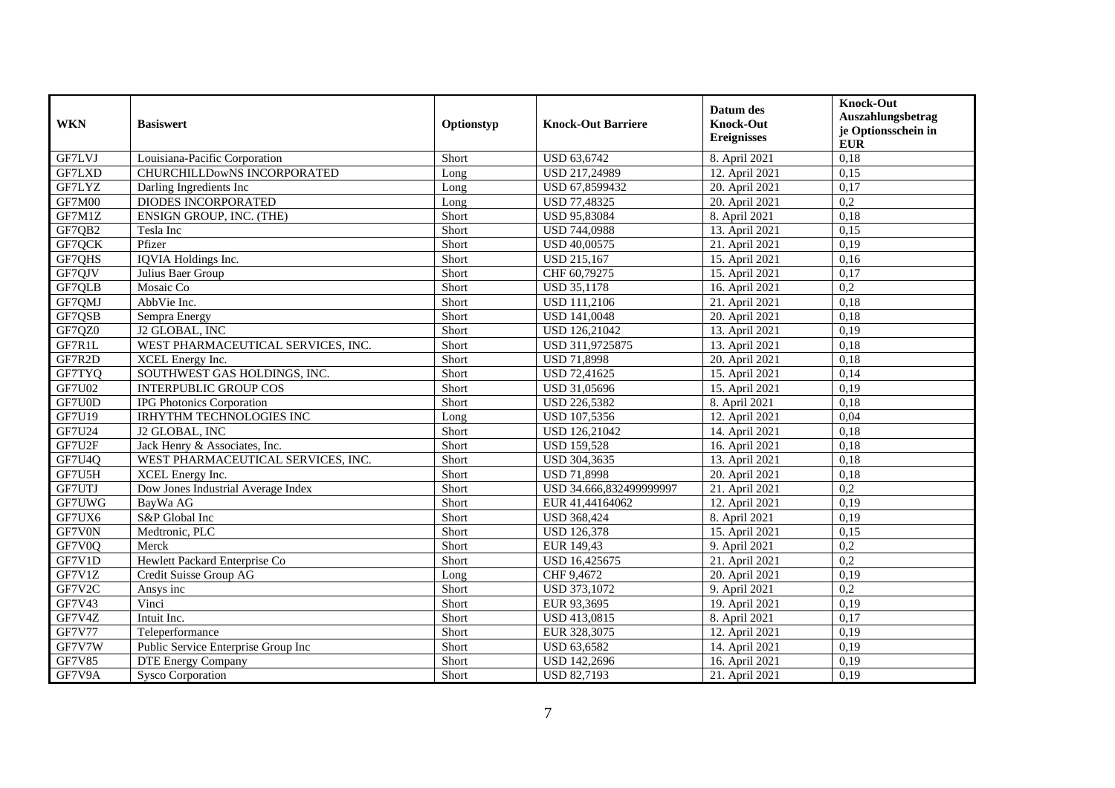| <b>WKN</b>    | <b>Basiswert</b>                    | Optionstyp | <b>Knock-Out Barriere</b> | Datum des<br><b>Knock-Out</b><br><b>Ereignisses</b> | <b>Knock-Out</b><br>Auszahlungsbetrag<br>je Optionsschein in<br><b>EUR</b> |
|---------------|-------------------------------------|------------|---------------------------|-----------------------------------------------------|----------------------------------------------------------------------------|
| GF7LVJ        | Louisiana-Pacific Corporation       | Short      | USD 63,6742               | 8. April 2021                                       | 0,18                                                                       |
| GF7LXD        | CHURCHILLDowNS INCORPORATED         | Long       | USD 217,24989             | 12. April 2021                                      | 0,15                                                                       |
| GF7LYZ        | Darling Ingredients Inc             | Long       | USD 67,8599432            | 20. April 2021                                      | 0.17                                                                       |
| GF7M00        | <b>DIODES INCORPORATED</b>          | Long       | USD 77,48325              | 20. April 2021                                      | $\overline{0,2}$                                                           |
| GF7M1Z        | ENSIGN GROUP, INC. (THE)            | Short      | USD 95,83084              | 8. April 2021                                       | 0,18                                                                       |
| GF7QB2        | Tesla Inc                           | Short      | USD 744,0988              | 13. April 2021                                      | 0,15                                                                       |
| GF7QCK        | Pfizer                              | Short      | USD 40,00575              | 21. April 2021                                      | 0,19                                                                       |
| GF7QHS        | IQVIA Holdings Inc.                 | Short      | <b>USD 215,167</b>        | 15. April 2021                                      | 0,16                                                                       |
| GF7QJV        | Julius Baer Group                   | Short      | CHF 60,79275              | 15. April 2021                                      | 0,17                                                                       |
| GF7QLB        | Mosaic Co                           | Short      | <b>USD 35,1178</b>        | 16. April 2021                                      | 0,2                                                                        |
| GF7QMJ        | AbbVie Inc.                         | Short      | USD 111,2106              | 21. April 2021                                      | 0,18                                                                       |
| GF7QSB        | Sempra Energy                       | Short      | USD 141,0048              | 20. April 2021                                      | 0,18                                                                       |
| GF7QZ0        | J2 GLOBAL, INC                      | Short      | USD 126,21042             | 13. April 2021                                      | 0,19                                                                       |
| GF7R1L        | WEST PHARMACEUTICAL SERVICES, INC.  | Short      | USD 311,9725875           | 13. April 2021                                      | 0,18                                                                       |
| GF7R2D        | XCEL Energy Inc.                    | Short      | <b>USD 71,8998</b>        | 20. April 2021                                      | 0,18                                                                       |
| GF7TYQ        | SOUTHWEST GAS HOLDINGS, INC.        | Short      | USD 72,41625              | 15. April 2021                                      | 0,14                                                                       |
| <b>GF7U02</b> | <b>INTERPUBLIC GROUP COS</b>        | Short      | USD 31,05696              | 15. April 2021                                      | 0,19                                                                       |
| GF7U0D        | <b>IPG Photonics Corporation</b>    | Short      | <b>USD 226,5382</b>       | 8. April 2021                                       | 0,18                                                                       |
| GF7U19        | IRHYTHM TECHNOLOGIES INC            | Long       | USD 107,5356              | 12. April 2021                                      | 0,04                                                                       |
| GF7U24        | J2 GLOBAL, INC                      | Short      | USD 126,21042             | 14. April 2021                                      | 0,18                                                                       |
| GF7U2F        | Jack Henry & Associates, Inc.       | Short      | <b>USD 159,528</b>        | 16. April 2021                                      | 0,18                                                                       |
| GF7U4Q        | WEST PHARMACEUTICAL SERVICES, INC.  | Short      | USD 304,3635              | 13. April 2021                                      | 0,18                                                                       |
| GF7U5H        | <b>XCEL</b> Energy Inc.             | Short      | <b>USD 71,8998</b>        | 20. April 2021                                      | 0,18                                                                       |
| GF7UTJ        | Dow Jones Industrial Average Index  | Short      | USD 34.666,832499999997   | 21. April 2021                                      | 0,2                                                                        |
| GF7UWG        | BayWa AG                            | Short      | EUR 41,44164062           | 12. April 2021                                      | 0,19                                                                       |
| GF7UX6        | S&P Global Inc                      | Short      | <b>USD 368,424</b>        | 8. April 2021                                       | 0,19                                                                       |
| GF7V0N        | Medtronic, PLC                      | Short      | <b>USD 126,378</b>        | 15. April 2021                                      | 0,15                                                                       |
| GF7V0Q        | Merck                               | Short      | EUR 149,43                | 9. April 2021                                       | 0,2                                                                        |
| GF7V1D        | Hewlett Packard Enterprise Co       | Short      | USD 16,425675             | 21. April 2021                                      | 0,2                                                                        |
| GF7V1Z        | Credit Suisse Group AG              | Long       | CHF 9,4672                | 20. April 2021                                      | 0,19                                                                       |
| GF7V2C        | Ansys inc                           | Short      | USD 373,1072              | 9. April 2021                                       | $\overline{0,2}$                                                           |
| GF7V43        | Vinci                               | Short      | EUR 93,3695               | 19. April 2021                                      | 0,19                                                                       |
| GF7V4Z        | Intuit Inc.                         | Short      | USD 413,0815              | 8. April 2021                                       | 0,17                                                                       |
| <b>GF7V77</b> | Teleperformance                     | Short      | EUR 328,3075              | 12. April 2021                                      | 0,19                                                                       |
| GF7V7W        | Public Service Enterprise Group Inc | Short      | USD 63,6582               | 14. April 2021                                      | 0,19                                                                       |
| <b>GF7V85</b> | <b>DTE Energy Company</b>           | Short      | USD 142,2696              | 16. April 2021                                      | 0,19                                                                       |
| GF7V9A        | <b>Sysco Corporation</b>            | Short      | <b>USD 82,7193</b>        | 21. April 2021                                      | 0,19                                                                       |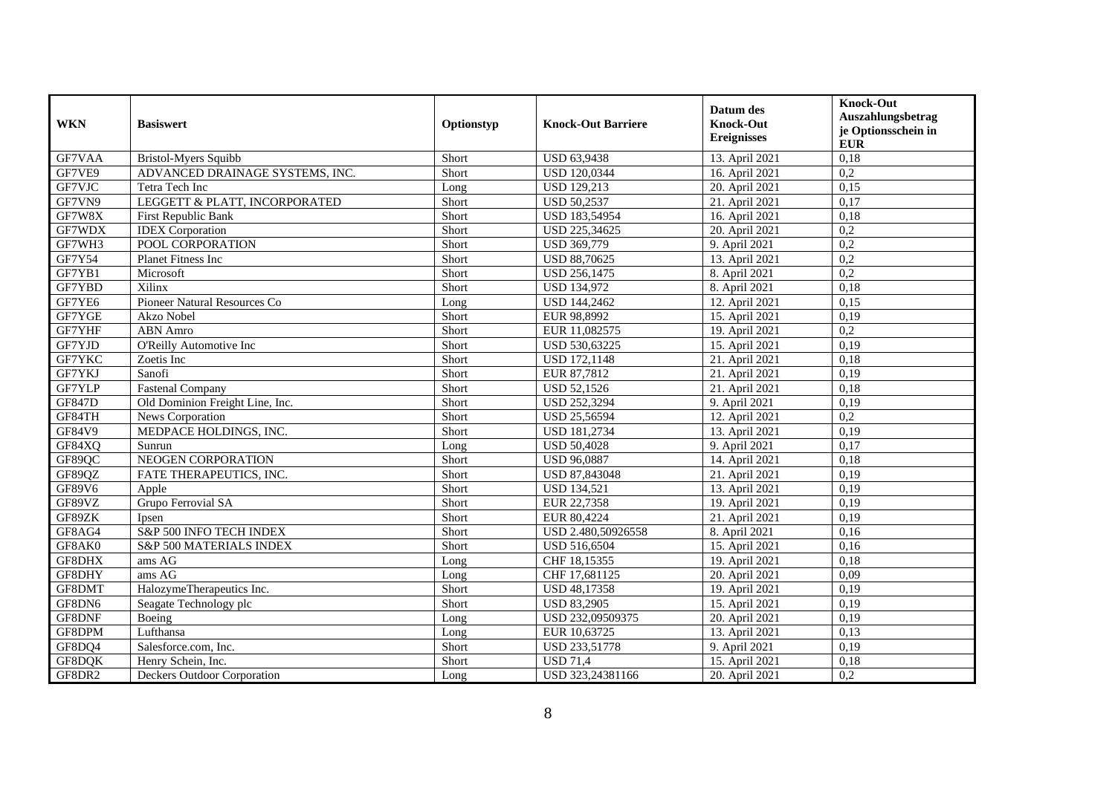| <b>WKN</b> | <b>Basiswert</b>                | Optionstyp | <b>Knock-Out Barriere</b> | Datum des<br><b>Knock-Out</b><br><b>Ereignisses</b> | <b>Knock-Out</b><br>Auszahlungsbetrag<br>je Optionsschein in<br><b>EUR</b> |
|------------|---------------------------------|------------|---------------------------|-----------------------------------------------------|----------------------------------------------------------------------------|
| GF7VAA     | <b>Bristol-Myers Squibb</b>     | Short      | USD 63,9438               | 13. April 2021                                      | 0,18                                                                       |
| GF7VE9     | ADVANCED DRAINAGE SYSTEMS, INC. | Short      | USD 120,0344              | 16. April 2021                                      | 0,2                                                                        |
| GF7VJC     | Tetra Tech Inc                  | Long       | <b>USD 129,213</b>        | 20. April 2021                                      | 0,15                                                                       |
| GF7VN9     | LEGGETT & PLATT, INCORPORATED   | Short      | <b>USD 50,2537</b>        | 21. April 2021                                      | 0,17                                                                       |
| GF7W8X     | <b>First Republic Bank</b>      | Short      | USD 183,54954             | 16. April 2021                                      | 0,18                                                                       |
| GF7WDX     | <b>IDEX</b> Corporation         | Short      | USD 225,34625             | 20. April 2021                                      | 0,2                                                                        |
| GF7WH3     | POOL CORPORATION                | Short      | USD 369,779               | 9. April 2021                                       | 0,2                                                                        |
| GF7Y54     | <b>Planet Fitness Inc</b>       | Short      | <b>USD 88,70625</b>       | 13. April 2021                                      | 0,2                                                                        |
| GF7YB1     | Microsoft                       | Short      | USD 256,1475              | 8. April 2021                                       | 0,2                                                                        |
| GF7YBD     | Xilinx                          | Short      | <b>USD 134,972</b>        | 8. April 2021                                       | 0.18                                                                       |
| GF7YE6     | Pioneer Natural Resources Co    | Long       | <b>USD 144,2462</b>       | 12. April 2021                                      | 0,15                                                                       |
| GF7YGE     | <b>Akzo Nobel</b>               | Short      | EUR 98,8992               | 15. April 2021                                      | 0,19                                                                       |
| GF7YHF     | <b>ABN</b> Amro                 | Short      | EUR 11,082575             | 19. April 2021                                      | 0,2                                                                        |
| GF7YJD     | O'Reilly Automotive Inc         | Short      | USD 530,63225             | 15. April 2021                                      | 0,19                                                                       |
| GF7YKC     | Zoetis Inc                      | Short      | <b>USD 172,1148</b>       | 21. April 2021                                      | 0,18                                                                       |
| GF7YKJ     | Sanofi                          | Short      | EUR 87,7812               | 21. April 2021                                      | 0,19                                                                       |
| GF7YLP     | <b>Fastenal Company</b>         | Short      | <b>USD 52.1526</b>        | 21. April 2021                                      | 0,18                                                                       |
| GF847D     | Old Dominion Freight Line, Inc. | Short      | USD 252,3294              | 9. April 2021                                       | 0,19                                                                       |
| GF84TH     | News Corporation                | Short      | USD 25,56594              | 12. April 2021                                      | $\overline{0,2}$                                                           |
| GF84V9     | MEDPACE HOLDINGS, INC.          | Short      | USD 181,2734              | 13. April 2021                                      | 0,19                                                                       |
| GF84XQ     | Sunrun                          | Long       | <b>USD 50,4028</b>        | 9. April 2021                                       | 0,17                                                                       |
| GF89QC     | NEOGEN CORPORATION              | Short      | <b>USD 96,0887</b>        | 14. April 2021                                      | 0,18                                                                       |
| GF89QZ     | FATE THERAPEUTICS, INC.         | Short      | USD 87,843048             | 21. April 2021                                      | 0,19                                                                       |
| GF89V6     | Apple                           | Short      | <b>USD 134,521</b>        | 13. April 2021                                      | 0,19                                                                       |
| GF89VZ     | Grupo Ferrovial SA              | Short      | EUR 22,7358               | 19. April 2021                                      | 0,19                                                                       |
| GF89ZK     | Ipsen                           | Short      | EUR 80,4224               | 21. April 2021                                      | 0,19                                                                       |
| GF8AG4     | S&P 500 INFO TECH INDEX         | Short      | USD 2.480,50926558        | 8. April 2021                                       | 0,16                                                                       |
| GF8AK0     | S&P 500 MATERIALS INDEX         | Short      | USD 516,6504              | 15. April 2021                                      | 0,16                                                                       |
| GF8DHX     | ams AG                          | Long       | CHF 18,15355              | 19. April 2021                                      | 0,18                                                                       |
| GF8DHY     | ams AG                          | Long       | CHF 17,681125             | 20. April 2021                                      | 0,09                                                                       |
| GF8DMT     | HalozymeTherapeutics Inc.       | Short      | USD 48,17358              | 19. April 2021                                      | 0,19                                                                       |
| GF8DN6     | Seagate Technology plc          | Short      | <b>USD 83,2905</b>        | 15. April 2021                                      | 0,19                                                                       |
| GF8DNF     | Boeing                          | Long       | USD 232,09509375          | 20. April 2021                                      | 0,19                                                                       |
| GF8DPM     | Lufthansa                       | Long       | EUR 10,63725              | 13. April 2021                                      | 0,13                                                                       |
| GF8DQ4     | Salesforce.com, Inc.            | Short      | USD 233,51778             | 9. April 2021                                       | 0,19                                                                       |
| GF8DQK     | Henry Schein, Inc.              | Short      | <b>USD 71,4</b>           | 15. April 2021                                      | 0,18                                                                       |
| GF8DR2     | Deckers Outdoor Corporation     | Long       | USD 323,24381166          | 20. April 2021                                      | 0,2                                                                        |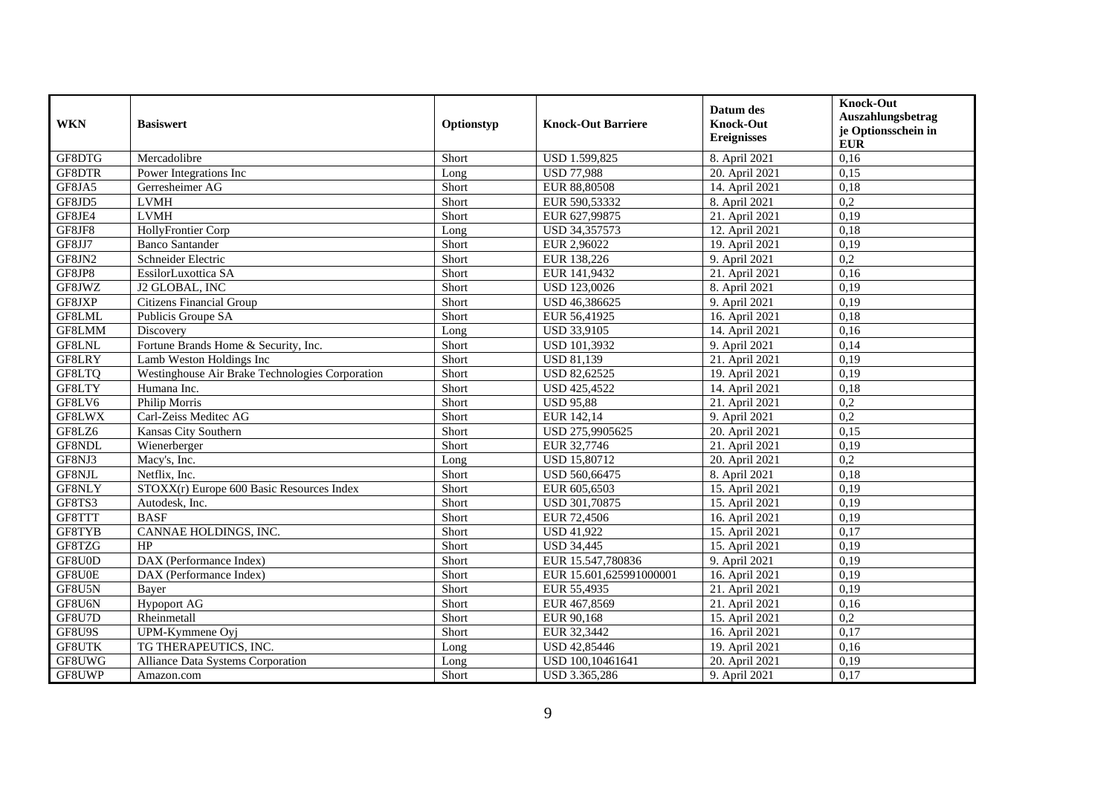| <b>WKN</b>    | <b>Basiswert</b>                                | Optionstyp | <b>Knock-Out Barriere</b> | Datum des<br><b>Knock-Out</b><br><b>Ereignisses</b> | <b>Knock-Out</b><br>Auszahlungsbetrag<br>je Optionsschein in<br><b>EUR</b> |
|---------------|-------------------------------------------------|------------|---------------------------|-----------------------------------------------------|----------------------------------------------------------------------------|
| GF8DTG        | Mercadolibre                                    | Short      | USD 1.599,825             | 8. April 2021                                       | 0,16                                                                       |
| GF8DTR        | Power Integrations Inc                          | Long       | <b>USD 77,988</b>         | 20. April 2021                                      | 0,15                                                                       |
| GF8JA5        | Gerresheimer AG                                 | Short      | EUR 88,80508              | 14. April 2021                                      | 0.18                                                                       |
| GF8JD5        | <b>LVMH</b>                                     | Short      | EUR 590,53332             | 8. April 2021                                       | $\overline{0.2}$                                                           |
| GF8JE4        | <b>LVMH</b>                                     | Short      | EUR 627,99875             | 21. April 2021                                      | 0,19                                                                       |
| GF8JF8        | HollyFrontier Corp                              | Long       | USD 34,357573             | 12. April 2021                                      | 0,18                                                                       |
| GF8JJ7        | <b>Banco Santander</b>                          | Short      | EUR 2,96022               | 19. April 2021                                      | 0,19                                                                       |
| GF8JN2        | Schneider Electric                              | Short      | EUR 138,226               | 9. April 2021                                       | 0,2                                                                        |
| GF8JP8        | EssilorLuxottica SA                             | Short      | EUR 141,9432              | 21. April 2021                                      | 0,16                                                                       |
| GF8JWZ        | J2 GLOBAL, INC                                  | Short      | USD 123,0026              | 8. April 2021                                       | 0,19                                                                       |
| GF8JXP        | Citizens Financial Group                        | Short      | USD 46,386625             | 9. April 2021                                       | 0,19                                                                       |
| GF8LML        | Publicis Groupe SA                              | Short      | EUR 56,41925              | 16. April 2021                                      | 0,18                                                                       |
| GF8LMM        | Discovery                                       | Long       | USD 33,9105               | 14. April 2021                                      | 0,16                                                                       |
| GF8LNL        | Fortune Brands Home & Security, Inc.            | Short      | USD 101,3932              | 9. April 2021                                       | 0.14                                                                       |
| GF8LRY        | Lamb Weston Holdings Inc                        | Short      | <b>USD 81,139</b>         | 21. April 2021                                      | 0,19                                                                       |
| GF8LTQ        | Westinghouse Air Brake Technologies Corporation | Short      | <b>USD 82,62525</b>       | 19. April 2021                                      | 0,19                                                                       |
| GF8LTY        | Humana Inc.                                     | Short      | <b>USD 425,4522</b>       | 14. April 2021                                      | 0,18                                                                       |
| GF8LV6        | Philip Morris                                   | Short      | <b>USD 95,88</b>          | 21. April 2021                                      | 0,2                                                                        |
| GF8LWX        | Carl-Zeiss Meditec AG                           | Short      | EUR 142,14                | 9. April 2021                                       | 0,2                                                                        |
| GF8LZ6        | Kansas City Southern                            | Short      | USD 275,9905625           | 20. April 2021                                      | 0,15                                                                       |
| GF8NDL        | Wienerberger                                    | Short      | EUR 32,7746               | 21. April 2021                                      | 0,19                                                                       |
| GF8NJ3        | Macy's, Inc.                                    | Long       | <b>USD 15,80712</b>       | 20. April 2021                                      | 0,2                                                                        |
| GF8NJL        | Netflix, Inc.                                   | Short      | USD 560,66475             | 8. April 2021                                       | 0,18                                                                       |
| GF8NLY        | $STOXX(r)$ Europe 600 Basic Resources Index     | Short      | EUR 605,6503              | 15. April 2021                                      | 0.19                                                                       |
| GF8TS3        | Autodesk, Inc.                                  | Short      | USD 301,70875             | 15. April 2021                                      | 0,19                                                                       |
| GF8TTT        | <b>BASF</b>                                     | Short      | EUR 72,4506               | 16. April 2021                                      | 0,19                                                                       |
| GF8TYB        | CANNAE HOLDINGS, INC.                           | Short      | <b>USD 41,922</b>         | 15. April 2021                                      | 0.17                                                                       |
| GF8TZG        | HP                                              | Short      | <b>USD 34,445</b>         | 15. April 2021                                      | 0,19                                                                       |
| GF8U0D        | DAX (Performance Index)                         | Short      | EUR 15.547,780836         | 9. April 2021                                       | 0,19                                                                       |
| GF8U0E        | DAX (Performance Index)                         | Short      | EUR 15.601,625991000001   | 16. April 2021                                      | 0,19                                                                       |
| GF8U5N        | Bayer                                           | Short      | EUR 55,4935               | 21. April 2021                                      | 0,19                                                                       |
| GF8U6N        | <b>Hypoport AG</b>                              | Short      | EUR 467,8569              | 21. April 2021                                      | 0,16                                                                       |
| GF8U7D        | Rheinmetall                                     | Short      | EUR 90,168                | 15. April 2021                                      | 0,2                                                                        |
| GF8U9S        | UPM-Kymmene Oyj                                 | Short      | EUR 32,3442               | 16. April 2021                                      | 0,17                                                                       |
| <b>GF8UTK</b> | TG THERAPEUTICS, INC.                           | Long       | USD 42,85446              | 19. April 2021                                      | 0,16                                                                       |
| GF8UWG        | Alliance Data Systems Corporation               | Long       | USD 100,10461641          | 20. April 2021                                      | 0,19                                                                       |
| GF8UWP        | Amazon.com                                      | Short      | USD 3.365,286             | 9. April 2021                                       | 0,17                                                                       |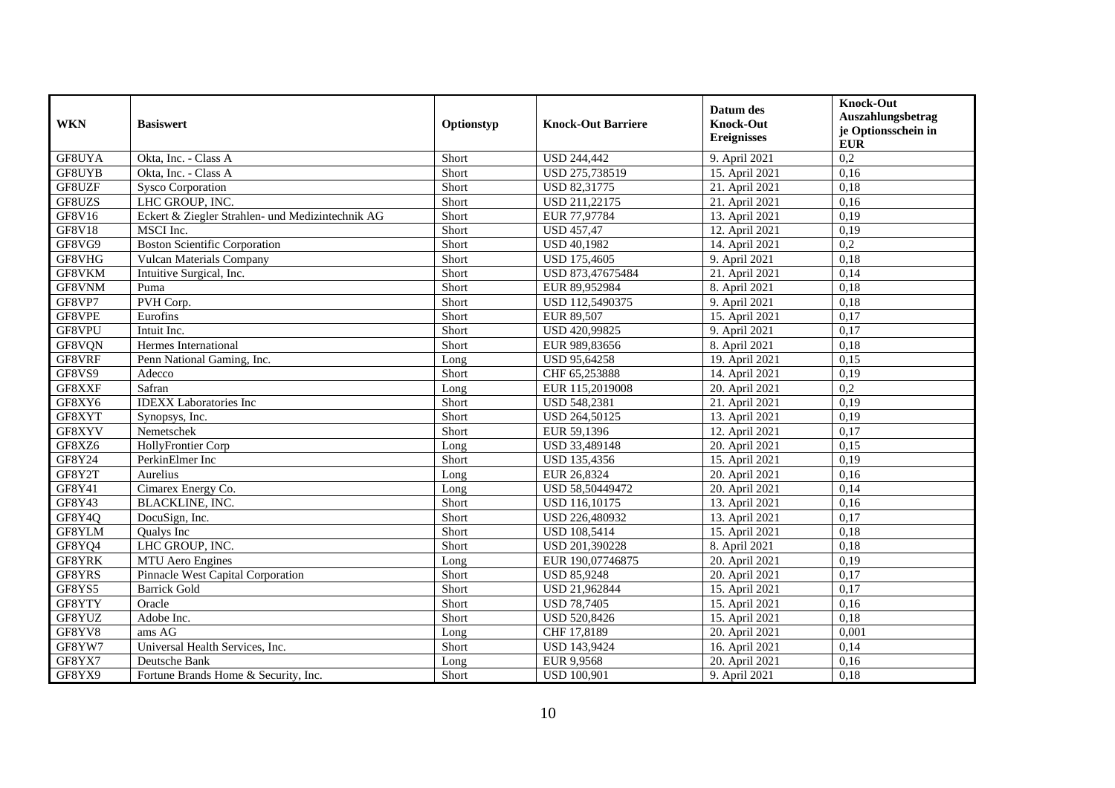| <b>WKN</b>    | <b>Basiswert</b>                                 | Optionstyp | <b>Knock-Out Barriere</b> | Datum des<br><b>Knock-Out</b><br><b>Ereignisses</b> | <b>Knock-Out</b><br>Auszahlungsbetrag<br>je Optionsschein in<br><b>EUR</b> |
|---------------|--------------------------------------------------|------------|---------------------------|-----------------------------------------------------|----------------------------------------------------------------------------|
| GF8UYA        | Okta, Inc. - Class A                             | Short      | <b>USD 244,442</b>        | 9. April 2021                                       | 0,2                                                                        |
| GF8UYB        | Okta, Inc. - Class A                             | Short      | USD 275,738519            | 15. April 2021                                      | 0,16                                                                       |
| GF8UZF        | <b>Sysco Corporation</b>                         | Short      | <b>USD 82,31775</b>       | 21. April 2021                                      | 0,18                                                                       |
| GF8UZS        | LHC GROUP, INC.                                  | Short      | USD 211,22175             | 21. April 2021                                      | 0,16                                                                       |
| GF8V16        | Eckert & Ziegler Strahlen- und Medizintechnik AG | Short      | EUR 77,97784              | 13. April 2021                                      | 0,19                                                                       |
| <b>GF8V18</b> | MSCI Inc.                                        | Short      | <b>USD 457,47</b>         | 12. April 2021                                      | 0,19                                                                       |
| GF8VG9        | <b>Boston Scientific Corporation</b>             | Short      | <b>USD 40,1982</b>        | 14. April 2021                                      | 0,2                                                                        |
| GF8VHG        | Vulcan Materials Company                         | Short      | <b>USD 175,4605</b>       | 9. April 2021                                       | 0,18                                                                       |
| GF8VKM        | Intuitive Surgical, Inc.                         | Short      | USD 873,47675484          | 21. April 2021                                      | 0,14                                                                       |
| GF8VNM        | Puma                                             | Short      | EUR 89,952984             | 8. April 2021                                       | 0,18                                                                       |
| GF8VP7        | PVH Corp.                                        | Short      | USD 112,5490375           | 9. April 2021                                       | 0,18                                                                       |
| GF8VPE        | Eurofins                                         | Short      | EUR 89,507                | 15. April 2021                                      | 0,17                                                                       |
| GF8VPU        | Intuit Inc.                                      | Short      | USD 420,99825             | 9. April 2021                                       | 0,17                                                                       |
| GF8VQN        | Hermes International                             | Short      | EUR 989,83656             | 8. April 2021                                       | 0,18                                                                       |
| GF8VRF        | Penn National Gaming, Inc.                       | Long       | USD 95,64258              | 19. April 2021                                      | 0,15                                                                       |
| GF8VS9        | Adecco                                           | Short      | CHF 65,253888             | 14. April 2021                                      | 0,19                                                                       |
| GF8XXF        | Safran                                           | Long       | EUR 115,2019008           | 20. April 2021                                      | 0,2                                                                        |
| GF8XY6        | <b>IDEXX</b> Laboratories Inc                    | Short      | USD 548,2381              | 21. April 2021                                      | 0,19                                                                       |
| GF8XYT        | Synopsys, Inc.                                   | Short      | USD 264,50125             | 13. April 2021                                      | 0,19                                                                       |
| GF8XYV        | Nemetschek                                       | Short      | EUR 59,1396               | 12. April 2021                                      | 0,17                                                                       |
| GF8XZ6        | HollyFrontier Corp                               | Long       | USD 33,489148             | 20. April 2021                                      | 0,15                                                                       |
| GF8Y24        | PerkinElmer Inc                                  | Short      | USD 135,4356              | 15. April 2021                                      | 0,19                                                                       |
| GF8Y2T        | Aurelius                                         | Long       | EUR 26,8324               | 20. April 2021                                      | 0,16                                                                       |
| GF8Y41        | Cimarex Energy Co.                               | Long       | USD 58,50449472           | 20. April 2021                                      | 0,14                                                                       |
| GF8Y43        | BLACKLINE, INC.                                  | Short      | USD 116,10175             | 13. April 2021                                      | 0,16                                                                       |
| GF8Y4Q        | DocuSign, Inc.                                   | Short      | USD 226,480932            | 13. April 2021                                      | 0,17                                                                       |
| GF8YLM        | Qualys Inc                                       | Short      | <b>USD 108,5414</b>       | 15. April 2021                                      | 0,18                                                                       |
| GF8YQ4        | LHC GROUP, INC.                                  | Short      | USD 201,390228            | 8. April 2021                                       | 0.18                                                                       |
| GF8YRK        | MTU Aero Engines                                 | Long       | EUR 190,07746875          | 20. April 2021                                      | 0,19                                                                       |
| GF8YRS        | Pinnacle West Capital Corporation                | Short      | <b>USD 85,9248</b>        | 20. April 2021                                      | 0,17                                                                       |
| GF8YS5        | <b>Barrick Gold</b>                              | Short      | USD 21,962844             | 15. April 2021                                      | 0,17                                                                       |
| GF8YTY        | Oracle                                           | Short      | <b>USD 78,7405</b>        | 15. April 2021                                      | 0.16                                                                       |
| GF8YUZ        | Adobe Inc.                                       | Short      | USD 520,8426              | 15. April 2021                                      | 0,18                                                                       |
| GF8YV8        | ams $\overline{AG}$                              | Long       | CHF 17,8189               | 20. April 2021                                      | 0,001                                                                      |
| GF8YW7        | Universal Health Services, Inc.                  | Short      | USD 143,9424              | 16. April 2021                                      | 0,14                                                                       |
| GF8YX7        | Deutsche Bank                                    | Long       | EUR 9,9568                | 20. April 2021                                      | 0,16                                                                       |
| GF8YX9        | Fortune Brands Home & Security, Inc.             | Short      | <b>USD 100,901</b>        | 9. April 2021                                       | 0,18                                                                       |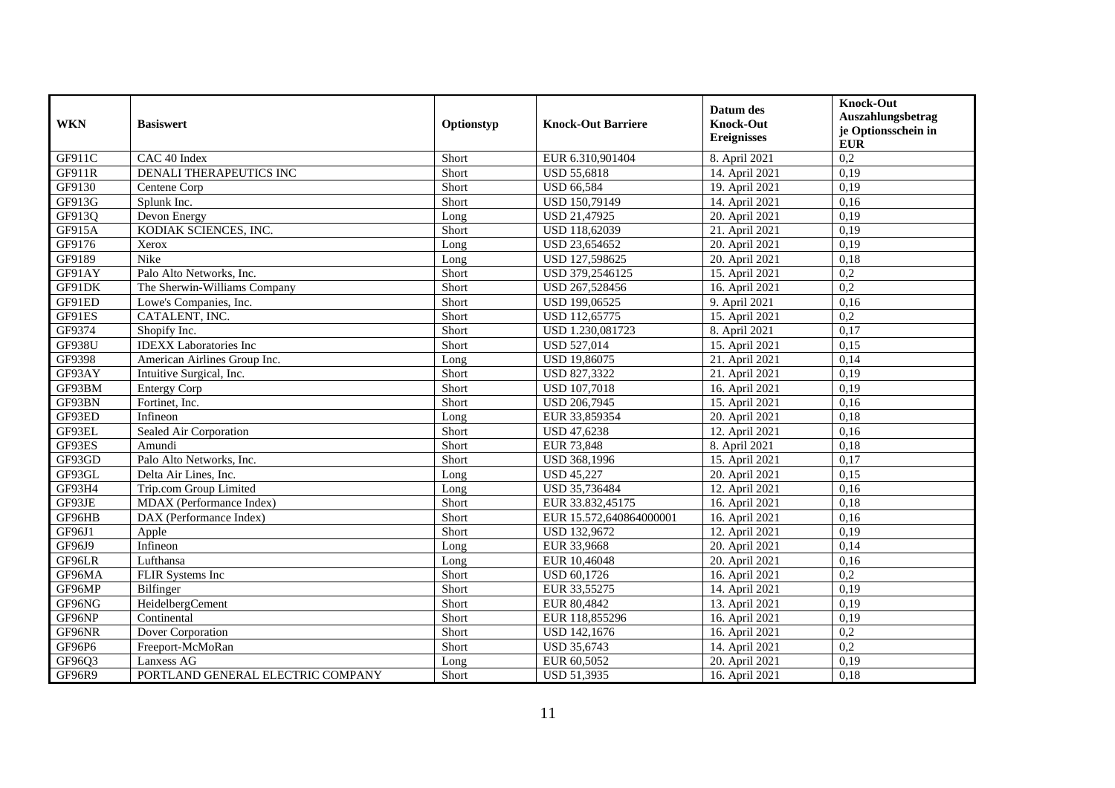| <b>WKN</b>    | <b>Basiswert</b>                  | Optionstyp | <b>Knock-Out Barriere</b> | Datum des<br><b>Knock-Out</b><br><b>Ereignisses</b> | <b>Knock-Out</b><br>Auszahlungsbetrag<br>je Optionsschein in<br><b>EUR</b> |
|---------------|-----------------------------------|------------|---------------------------|-----------------------------------------------------|----------------------------------------------------------------------------|
| GF911C        | CAC 40 Index                      | Short      | EUR 6.310,901404          | 8. April 2021                                       | 0,2                                                                        |
| GF911R        | <b>DENALI THERAPEUTICS INC</b>    | Short      | <b>USD 55,6818</b>        | 14. April 2021                                      | 0,19                                                                       |
| GF9130        | Centene Corp                      | Short      | <b>USD 66,584</b>         | 19. April 2021                                      | 0,19                                                                       |
| GF913G        | Splunk Inc.                       | Short      | USD 150,79149             | 14. April 2021                                      | 0,16                                                                       |
| GF913Q        | Devon Energy                      | Long       | USD 21,47925              | 20. April 2021                                      | 0,19                                                                       |
| GF915A        | KODIAK SCIENCES, INC.             | Short      | USD 118,62039             | 21. April 2021                                      | 0,19                                                                       |
| GF9176        | Xerox                             | Long       | USD 23,654652             | 20. April 2021                                      | 0.19                                                                       |
| GF9189        | Nike                              | Long       | USD 127,598625            | 20. April 2021                                      | 0,18                                                                       |
| GF91AY        | Palo Alto Networks, Inc.          | Short      | USD 379,2546125           | 15. April 2021                                      | 0,2                                                                        |
| GF91DK        | The Sherwin-Williams Company      | Short      | USD 267,528456            | 16. April 2021                                      | 0,2                                                                        |
| GF91ED        | Lowe's Companies, Inc.            | Short      | USD 199,06525             | 9. April 2021                                       | 0,16                                                                       |
| GF91ES        | CATALENT, INC.                    | Short      | USD 112,65775             | 15. April 2021                                      | 0,2                                                                        |
| GF9374        | Shopify Inc.                      | Short      | USD 1.230,081723          | 8. April 2021                                       | 0,17                                                                       |
| <b>GF938U</b> | <b>IDEXX</b> Laboratories Inc     | Short      | <b>USD 527,014</b>        | 15. April 2021                                      | 0,15                                                                       |
| GF9398        | American Airlines Group Inc.      | Long       | <b>USD 19,86075</b>       | 21. April 2021                                      | 0,14                                                                       |
| GF93AY        | Intuitive Surgical, Inc.          | Short      | USD 827,3322              | 21. April 2021                                      | 0,19                                                                       |
| GF93BM        | <b>Entergy Corp</b>               | Short      | <b>USD 107,7018</b>       | 16. April 2021                                      | 0,19                                                                       |
| GF93BN        | Fortinet, Inc.                    | Short      | USD 206,7945              | 15. April 2021                                      | 0,16                                                                       |
| GF93ED        | Infineon                          | Long       | EUR 33,859354             | 20. April 2021                                      | 0,18                                                                       |
| GF93EL        | Sealed Air Corporation            | Short      | USD 47,6238               | 12. April 2021                                      | 0,16                                                                       |
| GF93ES        | Amundi                            | Short      | EUR 73,848                | 8. April 2021                                       | 0,18                                                                       |
| GF93GD        | Palo Alto Networks, Inc.          | Short      | USD 368,1996              | 15. April 2021                                      | 0,17                                                                       |
| GF93GL        | Delta Air Lines, Inc.             | Long       | <b>USD 45,227</b>         | 20. April 2021                                      | 0,15                                                                       |
| GF93H4        | Trip.com Group Limited            | Long       | USD 35,736484             | 12. April 2021                                      | 0,16                                                                       |
| GF93JE        | MDAX (Performance Index)          | Short      | EUR 33.832,45175          | 16. April 2021                                      | 0,18                                                                       |
| GF96HB        | DAX (Performance Index)           | Short      | EUR 15.572,640864000001   | 16. April 2021                                      | 0,16                                                                       |
| GF96J1        | Apple                             | Short      | USD 132,9672              | 12. April 2021                                      | 0,19                                                                       |
| GF96J9        | Infineon                          | Long       | EUR 33,9668               | 20. April 2021                                      | 0,14                                                                       |
| GF96LR        | Lufthansa                         | Long       | EUR 10,46048              | 20. April 2021                                      | 0,16                                                                       |
| GF96MA        | FLIR Systems Inc                  | Short      | USD 60,1726               | 16. April 2021                                      | 0,2                                                                        |
| GF96MP        | Bilfinger                         | Short      | EUR 33,55275              | 14. April 2021                                      | 0,19                                                                       |
| GF96NG        | HeidelbergCement                  | Short      | EUR 80,4842               | 13. April 2021                                      | 0,19                                                                       |
| GF96NP        | Continental                       | Short      | EUR 118,855296            | 16. April 2021                                      | 0,19                                                                       |
| GF96NR        | Dover Corporation                 | Short      | USD 142,1676              | 16. April 2021                                      | 0,2                                                                        |
| GF96P6        | Freeport-McMoRan                  | Short      | USD 35,6743               | 14. April 2021                                      | 0,2                                                                        |
| GF96Q3        | Lanxess AG                        | Long       | EUR 60,5052               | 20. April 2021                                      | 0,19                                                                       |
| GF96R9        | PORTLAND GENERAL ELECTRIC COMPANY | Short      | <b>USD 51,3935</b>        | 16. April 2021                                      | 0,18                                                                       |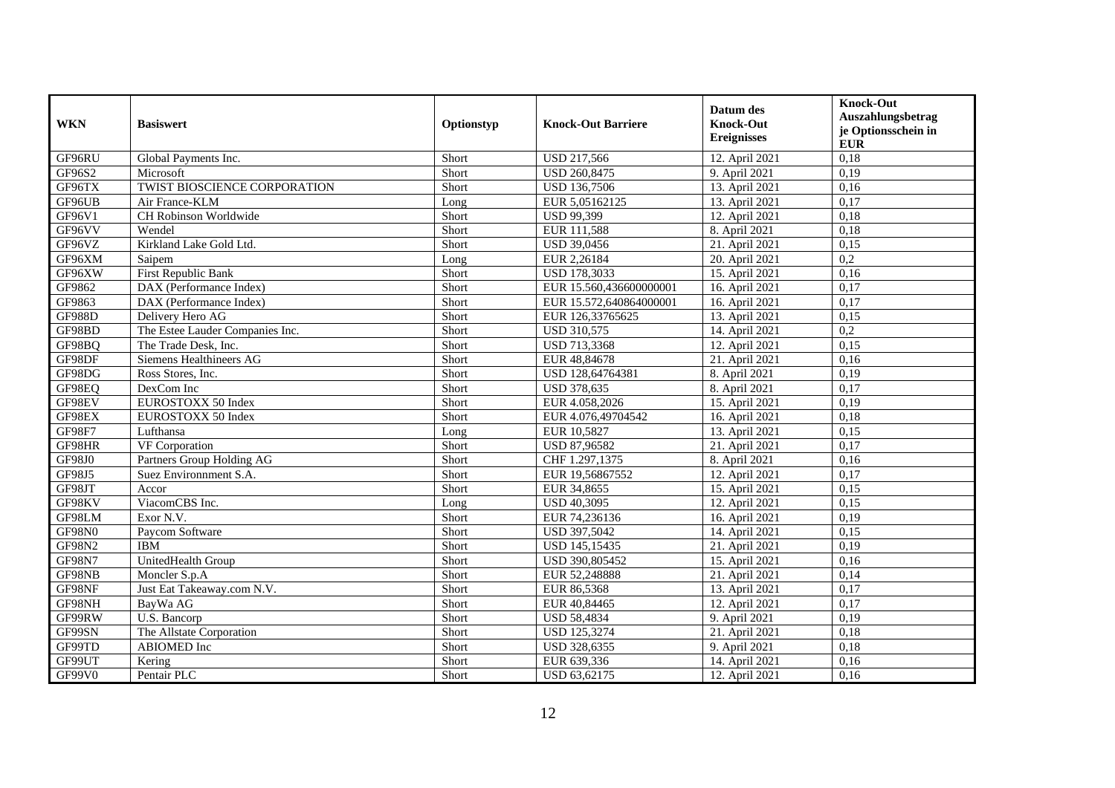| <b>WKN</b>    | <b>Basiswert</b>                | Optionstyp | <b>Knock-Out Barriere</b> | Datum des<br><b>Knock-Out</b><br><b>Ereignisses</b> | <b>Knock-Out</b><br>Auszahlungsbetrag<br>je Optionsschein in<br><b>EUR</b> |
|---------------|---------------------------------|------------|---------------------------|-----------------------------------------------------|----------------------------------------------------------------------------|
| GF96RU        | Global Payments Inc.            | Short      | USD 217,566               | 12. April 2021                                      | 0,18                                                                       |
| GF96S2        | Microsoft                       | Short      | USD 260,8475              | 9. April 2021                                       | 0,19                                                                       |
| GF96TX        | TWIST BIOSCIENCE CORPORATION    | Short      | <b>USD 136,7506</b>       | 13. April 2021                                      | 0,16                                                                       |
| GF96UB        | Air France-KLM                  | Long       | EUR 5,05162125            | 13. April 2021                                      | 0,17                                                                       |
| GF96V1        | CH Robinson Worldwide           | Short      | <b>USD 99,399</b>         | 12. April 2021                                      | 0,18                                                                       |
| GF96VV        | Wendel                          | Short      | EUR 111,588               | 8. April 2021                                       | 0,18                                                                       |
| GF96VZ        | Kirkland Lake Gold Ltd.         | Short      | USD 39,0456               | 21. April 2021                                      | 0,15                                                                       |
| GF96XM        | Saipem                          | Long       | EUR 2,26184               | 20. April 2021                                      | 0,2                                                                        |
| GF96XW        | First Republic Bank             | Short      | <b>USD 178,3033</b>       | 15. April 2021                                      | 0,16                                                                       |
| GF9862        | DAX (Performance Index)         | Short      | EUR 15.560,436600000001   | 16. April 2021                                      | 0,17                                                                       |
| GF9863        | DAX (Performance Index)         | Short      | EUR 15.572,640864000001   | 16. April 2021                                      | 0,17                                                                       |
| <b>GF988D</b> | Delivery Hero AG                | Short      | EUR 126,33765625          | 13. April 2021                                      | 0,15                                                                       |
| GF98BD        | The Estee Lauder Companies Inc. | Short      | <b>USD 310,575</b>        | 14. April 2021                                      | 0,2                                                                        |
| GF98BQ        | The Trade Desk, Inc.            | Short      | USD 713,3368              | 12. April 2021                                      | 0,15                                                                       |
| GF98DF        | Siemens Healthineers AG         | Short      | EUR 48,84678              | 21. April 2021                                      | 0,16                                                                       |
| GF98DG        | Ross Stores, Inc.               | Short      | USD 128,64764381          | 8. April 2021                                       | 0,19                                                                       |
| GF98EQ        | DexCom Inc                      | Short      | <b>USD 378,635</b>        | 8. April 2021                                       | 0,17                                                                       |
| GF98EV        | EUROSTOXX 50 Index              | Short      | EUR 4.058,2026            | 15. April 2021                                      | 0,19                                                                       |
| GF98EX        | EUROSTOXX 50 Index              | Short      | EUR 4.076,49704542        | 16. April 2021                                      | 0,18                                                                       |
| <b>GF98F7</b> | Lufthansa                       | Long       | EUR 10,5827               | 13. April 2021                                      | 0.15                                                                       |
| GF98HR        | VF Corporation                  | Short      | USD 87,96582              | 21. April 2021                                      | 0,17                                                                       |
| <b>GF98J0</b> | Partners Group Holding AG       | Short      | CHF 1.297,1375            | 8. April 2021                                       | 0,16                                                                       |
| GF98J5        | Suez Environment S.A.           | Short      | EUR 19,56867552           | 12. April 2021                                      | 0,17                                                                       |
| GF98JT        | Accor                           | Short      | EUR 34,8655               | 15. April 2021                                      | 0,15                                                                       |
| GF98KV        | ViacomCBS Inc.                  | Long       | <b>USD 40,3095</b>        | 12. April 2021                                      | 0,15                                                                       |
| GF98LM        | Exor N.V.                       | Short      | EUR 74,236136             | 16. April 2021                                      | 0,19                                                                       |
| GF98N0        | Paycom Software                 | Short      | USD 397,5042              | 14. April 2021                                      | 0,15                                                                       |
| <b>GF98N2</b> | <b>IBM</b>                      | Short      | USD 145,15435             | 21. April 2021                                      | 0,19                                                                       |
| <b>GF98N7</b> | UnitedHealth Group              | Short      | USD 390,805452            | 15. April 2021                                      | 0,16                                                                       |
| GF98NB        | Moncler S.p.A                   | Short      | EUR 52,248888             | 21. April 2021                                      | 0,14                                                                       |
| GF98NF        | Just Eat Takeaway.com N.V.      | Short      | EUR 86,5368               | 13. April 2021                                      | 0,17                                                                       |
| GF98NH        | BayWa AG                        | Short      | EUR 40.84465              | 12. April 2021                                      | 0,17                                                                       |
| GF99RW        | U.S. Bancorp                    | Short      | <b>USD 58,4834</b>        | 9. April 2021                                       | 0,19                                                                       |
| GF99SN        | The Allstate Corporation        | Short      | <b>USD 125,3274</b>       | 21. April 2021                                      | 0,18                                                                       |
| GF99TD        | ABIOMED Inc                     | Short      | USD 328,6355              | 9. April 2021                                       | 0,18                                                                       |
| GF99UT        | Kering                          | Short      | EUR 639,336               | 14. April 2021                                      | 0,16                                                                       |
| GF99V0        | Pentair PLC                     | Short      | USD 63,62175              | 12. April 2021                                      | 0,16                                                                       |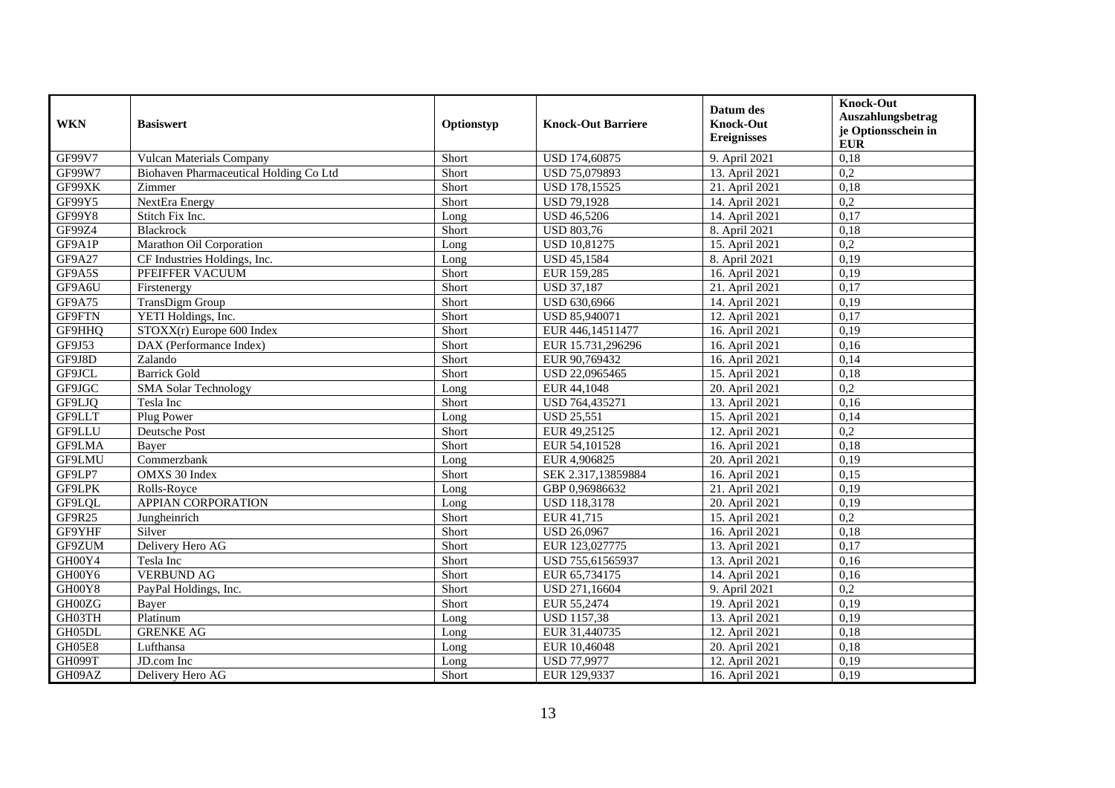| <b>WKN</b> | <b>Basiswert</b>                       | Optionstyp | <b>Knock-Out Barriere</b> | Datum des<br><b>Knock-Out</b><br><b>Ereignisses</b> | <b>Knock-Out</b><br>Auszahlungsbetrag<br>je Optionsschein in<br><b>EUR</b> |
|------------|----------------------------------------|------------|---------------------------|-----------------------------------------------------|----------------------------------------------------------------------------|
| GF99V7     | Vulcan Materials Company               | Short      | USD 174,60875             | 9. April 2021                                       | 0,18                                                                       |
| GF99W7     | Biohaven Pharmaceutical Holding Co Ltd | Short      | USD 75,079893             | 13. April 2021                                      | 0,2                                                                        |
| GF99XK     | Zimmer                                 | Short      | USD 178,15525             | 21. April 2021                                      | 0.18                                                                       |
| GF99Y5     | NextEra Energy                         | Short      | <b>USD 79,1928</b>        | 14. April 2021                                      | $\overline{0,2}$                                                           |
| GF99Y8     | Stitch Fix Inc.                        | Long       | <b>USD 46,5206</b>        | 14. April 2021                                      | 0,17                                                                       |
| GF99Z4     | Blackrock                              | Short      | <b>USD 803,76</b>         | 8. April 2021                                       | 0,18                                                                       |
| GF9A1P     | Marathon Oil Corporation               | Long       | USD 10,81275              | 15. April 2021                                      | 0,2                                                                        |
| GF9A27     | CF Industries Holdings, Inc.           | Long       | <b>USD 45,1584</b>        | 8. April 2021                                       | 0,19                                                                       |
| GF9A5S     | PFEIFFER VACUUM                        | Short      | EUR 159,285               | 16. April 2021                                      | 0,19                                                                       |
| GF9A6U     | Firstenergy                            | Short      | <b>USD 37,187</b>         | 21. April 2021                                      | 0,17                                                                       |
| GF9A75     | <b>TransDigm Group</b>                 | Short      | USD 630,6966              | 14. April 2021                                      | 0,19                                                                       |
| GF9FTN     | YETI Holdings, Inc.                    | Short      | USD 85,940071             | 12. April 2021                                      | 0,17                                                                       |
| GF9HHQ     | STOXX(r) Europe 600 Index              | Short      | EUR 446,14511477          | 16. April 2021                                      | 0,19                                                                       |
| GF9J53     | DAX (Performance Index)                | Short      | EUR 15.731,296296         | 16. April 2021                                      | 0.16                                                                       |
| GF9J8D     | Zalando                                | Short      | EUR 90,769432             | 16. April 2021                                      | 0,14                                                                       |
| GF9JCL     | <b>Barrick Gold</b>                    | Short      | USD 22,0965465            | 15. April 2021                                      | 0,18                                                                       |
| GF9JGC     | <b>SMA</b> Solar Technology            | Long       | EUR 44,1048               | 20. April 2021                                      | 0,2                                                                        |
| GF9LJQ     | Tesla Inc                              | Short      | USD 764,435271            | 13. April 2021                                      | 0,16                                                                       |
| GF9LLT     | Plug Power                             | Long       | <b>USD 25,551</b>         | 15. April 2021                                      | 0,14                                                                       |
| GF9LLU     | Deutsche Post                          | Short      | EUR 49,25125              | 12. April 2021                                      | 0,2                                                                        |
| GF9LMA     | Bayer                                  | Short      | EUR 54,101528             | 16. April 2021                                      | 0.18                                                                       |
| GF9LMU     | Commerzbank                            | Long       | EUR 4,906825              | 20. April 2021                                      | 0,19                                                                       |
| GF9LP7     | <b>OMXS 30 Index</b>                   | Short      | SEK 2.317,13859884        | 16. April 2021                                      | 0,15                                                                       |
| GF9LPK     | Rolls-Rovce                            | Long       | GBP 0,96986632            | 21. April 2021                                      | 0,19                                                                       |
| GF9LQL     | <b>APPIAN CORPORATION</b>              | Long       | <b>USD 118,3178</b>       | 20. April 2021                                      | 0,19                                                                       |
| GF9R25     | Jungheinrich                           | Short      | EUR 41,715                | 15. April 2021                                      | 0,2                                                                        |
| GF9YHF     | Silver                                 | Short      | <b>USD 26,0967</b>        | 16. April 2021                                      | 0,18                                                                       |
| GF9ZUM     | Delivery Hero AG                       | Short      | EUR 123,027775            | 13. April 2021                                      | 0,17                                                                       |
| GH00Y4     | Tesla Inc                              | Short      | USD 755,61565937          | 13. April 2021                                      | 0,16                                                                       |
| GH00Y6     | <b>VERBUND AG</b>                      | Short      | EUR 65,734175             | 14. April 2021                                      | 0,16                                                                       |
| GH00Y8     | PayPal Holdings, Inc.                  | Short      | USD 271,16604             | 9. April 2021                                       | $\overline{0,2}$                                                           |
| GH00ZG     | Baver                                  | Short      | EUR 55,2474               | 19. April 2021                                      | 0,19                                                                       |
| GH03TH     | Platinum                               | Long       | <b>USD 1157,38</b>        | 13. April 2021                                      | 0,19                                                                       |
| GH05DL     | <b>GRENKE AG</b>                       | Long       | EUR 31,440735             | 12. April 2021                                      | 0,18                                                                       |
| GH05E8     | Lufthansa                              | Long       | EUR 10,46048              | 20. April 2021                                      | 0,18                                                                       |
| GH099T     | JD.com Inc                             | Long       | <b>USD 77,9977</b>        | 12. April 2021                                      | 0,19                                                                       |
| GH09AZ     | Delivery Hero AG                       | Short      | EUR 129,9337              | 16. April 2021                                      | 0,19                                                                       |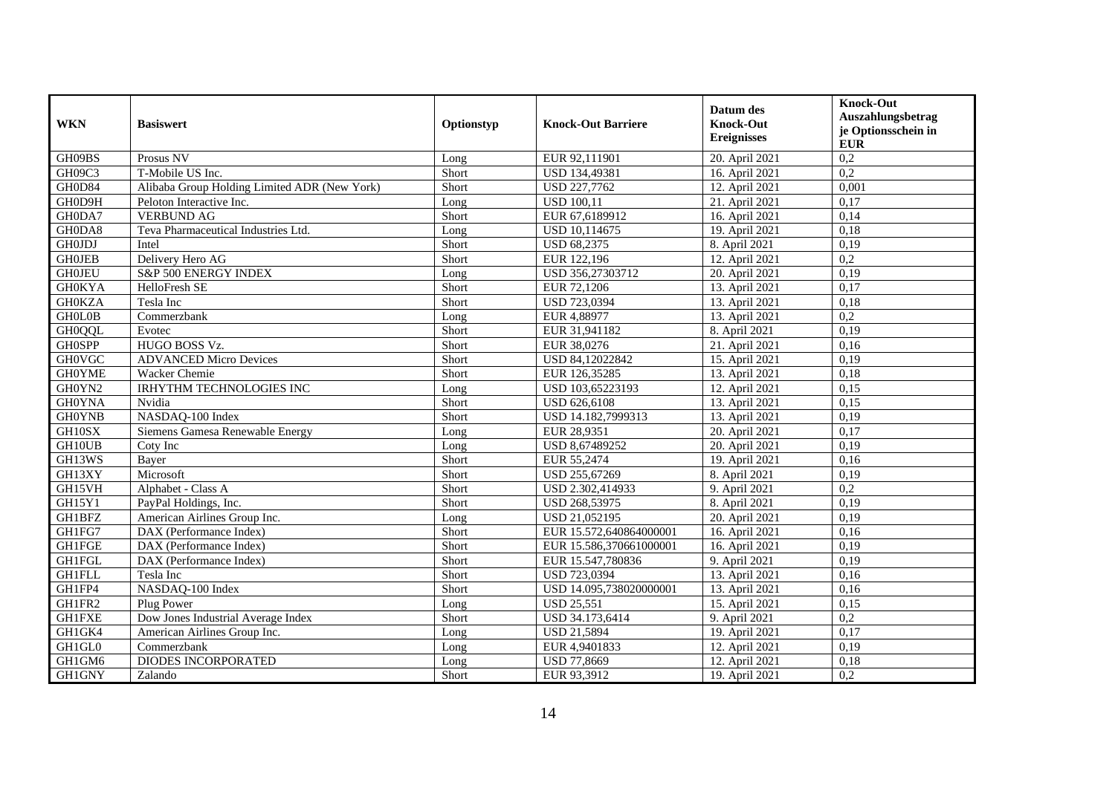| <b>WKN</b>    | <b>Basiswert</b>                             | Optionstyp | <b>Knock-Out Barriere</b> | Datum des<br><b>Knock-Out</b><br><b>Ereignisses</b> | <b>Knock-Out</b><br>Auszahlungsbetrag<br>je Optionsschein in<br><b>EUR</b> |
|---------------|----------------------------------------------|------------|---------------------------|-----------------------------------------------------|----------------------------------------------------------------------------|
| GH09BS        | Prosus NV                                    | Long       | EUR 92,111901             | 20. April 2021                                      | 0,2                                                                        |
| GH09C3        | T-Mobile US Inc.                             | Short      | USD 134,49381             | 16. April 2021                                      | 0,2                                                                        |
| GH0D84        | Alibaba Group Holding Limited ADR (New York) | Short      | USD 227,7762              | 12. April 2021                                      | 0,001                                                                      |
| GH0D9H        | Peloton Interactive Inc.                     | Long       | <b>USD 100,11</b>         | 21. April 2021                                      | 0,17                                                                       |
| GH0DA7        | <b>VERBUND AG</b>                            | Short      | EUR 67,6189912            | 16. April 2021                                      | 0,14                                                                       |
| GH0DA8        | Teva Pharmaceutical Industries Ltd.          | Long       | USD 10,114675             | 19. April 2021                                      | 0.18                                                                       |
| <b>GH0JDJ</b> | Intel                                        | Short      | USD 68,2375               | 8. April 2021                                       | 0,19                                                                       |
| <b>GHOJEB</b> | Delivery Hero AG                             | Short      | EUR 122,196               | 12. April 2021                                      | 0,2                                                                        |
| <b>GH0JEU</b> | S&P 500 ENERGY INDEX                         | Long       | USD 356,27303712          | 20. April 2021                                      | 0,19                                                                       |
| <b>GH0KYA</b> | HelloFresh SE                                | Short      | EUR 72,1206               | 13. April 2021                                      | 0,17                                                                       |
| <b>GH0KZA</b> | Tesla Inc                                    | Short      | USD 723,0394              | 13. April 2021                                      | 0,18                                                                       |
| <b>GHOLOB</b> | Commerzbank                                  | Long       | EUR 4,88977               | 13. April 2021                                      | $\overline{0,2}$                                                           |
| <b>GH0QQL</b> | Evotec                                       | Short      | EUR 31,941182             | 8. April 2021                                       | 0,19                                                                       |
| <b>GH0SPP</b> | HUGO BOSS Vz.                                | Short      | EUR 38,0276               | 21. April 2021                                      | 0.16                                                                       |
| <b>GH0VGC</b> | <b>ADVANCED Micro Devices</b>                | Short      | USD 84,12022842           | 15. April 2021                                      | 0,19                                                                       |
| <b>GH0YME</b> | Wacker Chemie                                | Short      | EUR 126,35285             | 13. April 2021                                      | 0,18                                                                       |
| GH0YN2        | <b>IRHYTHM TECHNOLOGIES INC</b>              | Long       | USD 103,65223193          | 12. April 2021                                      | 0,15                                                                       |
| <b>GH0YNA</b> | Nvidia                                       | Short      | <b>USD 626,6108</b>       | 13. April 2021                                      | 0,15                                                                       |
| <b>GH0YNB</b> | NASDAQ-100 Index                             | Short      | USD 14.182,7999313        | 13. April 2021                                      | 0,19                                                                       |
| GH10SX        | Siemens Gamesa Renewable Energy              | Long       | EUR 28,9351               | 20. April 2021                                      | 0,17                                                                       |
| GH10UB        | Coty Inc                                     | Long       | USD 8,67489252            | 20. April 2021                                      | 0,19                                                                       |
| GH13WS        | Bayer                                        | Short      | EUR 55,2474               | 19. April 2021                                      | 0,16                                                                       |
| GH13XY        | Microsoft                                    | Short      | USD 255,67269             | 8. April 2021                                       | 0,19                                                                       |
| GH15VH        | Alphabet - Class A                           | Short      | USD 2.302,414933          | 9. April 2021                                       | 0,2                                                                        |
| GH15Y1        | PayPal Holdings, Inc.                        | Short      | USD 268,53975             | 8. April 2021                                       | 0,19                                                                       |
| GH1BFZ        | American Airlines Group Inc.                 | Long       | USD 21,052195             | 20. April 2021                                      | 0,19                                                                       |
| GH1FG7        | DAX (Performance Index)                      | Short      | EUR 15.572,640864000001   | 16. April 2021                                      | 0,16                                                                       |
| <b>GH1FGE</b> | DAX (Performance Index)                      | Short      | EUR 15.586,370661000001   | 16. April 2021                                      | 0,19                                                                       |
| <b>GH1FGL</b> | DAX (Performance Index)                      | Short      | EUR 15.547,780836         | 9. April 2021                                       | 0,19                                                                       |
| <b>GH1FLL</b> | Tesla Inc                                    | Short      | USD 723,0394              | 13. April 2021                                      | 0,16                                                                       |
| GH1FP4        | NASDAQ-100 Index                             | Short      | USD 14.095,738020000001   | 13. April 2021                                      | 0,16                                                                       |
| GH1FR2        | Plug Power                                   | Long       | <b>USD 25,551</b>         | 15. April 2021                                      | 0,15                                                                       |
| <b>GH1FXE</b> | Dow Jones Industrial Average Index           | Short      | USD 34.173,6414           | 9. April 2021                                       | 0,2                                                                        |
| GH1GK4        | American Airlines Group Inc.                 | Long       | <b>USD 21,5894</b>        | 19. April 2021                                      | 0,17                                                                       |
| GH1GL0        | Commerzbank                                  | Long       | EUR 4,9401833             | 12. April 2021                                      | 0,19                                                                       |
| GH1GM6        | DIODES INCORPORATED                          | Long       | USD 77,8669               | 12. April 2021                                      | 0,18                                                                       |
| <b>GH1GNY</b> | Zalando                                      | Short      | EUR 93,3912               | 19. April 2021                                      | 0,2                                                                        |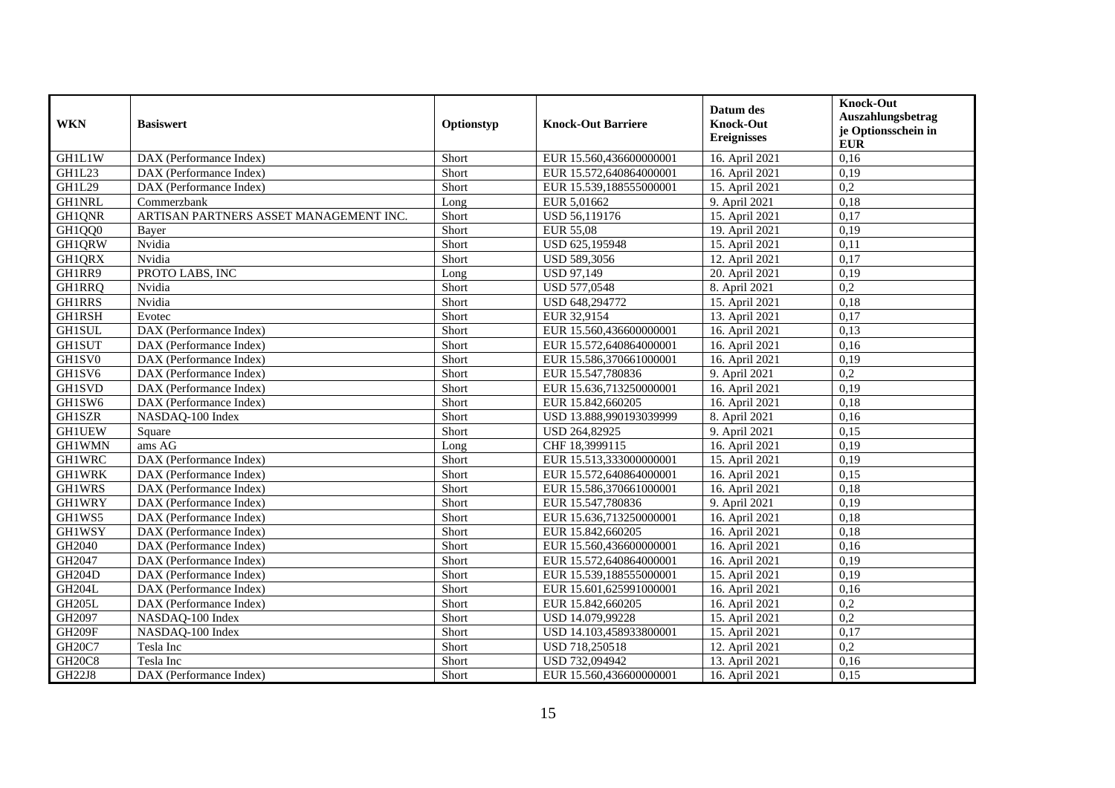| <b>WKN</b>    | <b>Basiswert</b>                       | Optionstyp | <b>Knock-Out Barriere</b> | Datum des<br><b>Knock-Out</b><br><b>Ereignisses</b> | <b>Knock-Out</b><br>Auszahlungsbetrag<br>je Optionsschein in<br><b>EUR</b> |
|---------------|----------------------------------------|------------|---------------------------|-----------------------------------------------------|----------------------------------------------------------------------------|
| GH1L1W        | DAX (Performance Index)                | Short      | EUR 15.560,436600000001   | 16. April 2021                                      | 0,16                                                                       |
| <b>GH1L23</b> | DAX (Performance Index)                | Short      | EUR 15.572,640864000001   | 16. April 2021                                      | 0,19                                                                       |
| <b>GH1L29</b> | DAX (Performance Index)                | Short      | EUR 15.539,188555000001   | 15. April 2021                                      | 0,2                                                                        |
| <b>GH1NRL</b> | Commerzbank                            | Long       | EUR 5,01662               | 9. April 2021                                       | 0.18                                                                       |
| GH1QNR        | ARTISAN PARTNERS ASSET MANAGEMENT INC. | Short      | USD 56,119176             | 15. April 2021                                      | 0,17                                                                       |
| GH1QQ0        | Bayer                                  | Short      | <b>EUR 55.08</b>          | 19. April 2021                                      | 0,19                                                                       |
| GH1QRW        | Nvidia                                 | Short      | USD 625,195948            | 15. April 2021                                      | 0,11                                                                       |
| GH1QRX        | Nvidia                                 | Short      | USD 589,3056              | 12. April 2021                                      | 0.17                                                                       |
| GH1RR9        | PROTO LABS, INC                        | Long       | <b>USD 97,149</b>         | 20. April 2021                                      | 0,19                                                                       |
| <b>GH1RRQ</b> | Nvidia                                 | Short      | USD 577,0548              | 8. April 2021                                       | $\overline{0.2}$                                                           |
| <b>GH1RRS</b> | Nvidia                                 | Short      | USD 648,294772            | 15. April 2021                                      | 0,18                                                                       |
| <b>GH1RSH</b> | Evotec                                 | Short      | EUR 32,9154               | 13. April 2021                                      | 0,17                                                                       |
| <b>GH1SUL</b> | DAX (Performance Index)                | Short      | EUR 15.560,436600000001   | 16. April 2021                                      | 0,13                                                                       |
| <b>GH1SUT</b> | DAX (Performance Index)                | Short      | EUR 15.572,640864000001   | 16. April 2021                                      | 0.16                                                                       |
| GH1SV0        | DAX (Performance Index)                | Short      | EUR 15.586,370661000001   | 16. April 2021                                      | 0,19                                                                       |
| GH1SV6        | DAX (Performance Index)                | Short      | EUR 15.547,780836         | 9. April 2021                                       | $\overline{0.2}$                                                           |
| <b>GH1SVD</b> | DAX (Performance Index)                | Short      | EUR 15.636,713250000001   | 16. April 2021                                      | 0,19                                                                       |
| GH1SW6        | DAX (Performance Index)                | Short      | EUR 15.842,660205         | 16. April 2021                                      | 0,18                                                                       |
| GH1SZR        | NASDAQ-100 Index                       | Short      | USD 13.888,990193039999   | 8. April 2021                                       | 0,16                                                                       |
| <b>GH1UEW</b> | Square                                 | Short      | <b>USD 264,82925</b>      | 9. April 2021                                       | 0.15                                                                       |
| <b>GH1WMN</b> | $ams\overline{AG}$                     | Long       | CHF 18,3999115            | 16. April 2021                                      | 0,19                                                                       |
| <b>GH1WRC</b> | DAX (Performance Index)                | Short      | EUR 15.513,333000000001   | 15. April 2021                                      | 0,19                                                                       |
| <b>GH1WRK</b> | DAX (Performance Index)                | Short      | EUR 15.572,640864000001   | 16. April 2021                                      | 0,15                                                                       |
| <b>GH1WRS</b> | DAX (Performance Index)                | Short      | EUR 15.586,370661000001   | 16. April 2021                                      | 0,18                                                                       |
| GH1WRY        | DAX (Performance Index)                | Short      | EUR 15.547,780836         | 9. April 2021                                       | 0,19                                                                       |
| GH1WS5        | DAX (Performance Index)                | Short      | EUR 15.636.713250000001   | 16. April 2021                                      | 0,18                                                                       |
| <b>GH1WSY</b> | DAX (Performance Index)                | Short      | EUR 15.842,660205         | 16. April 2021                                      | 0,18                                                                       |
| GH2040        | DAX (Performance Index)                | Short      | EUR 15.560.436600000001   | 16. April 2021                                      | 0,16                                                                       |
| GH2047        | DAX (Performance Index)                | Short      | EUR 15.572,640864000001   | 16. April 2021                                      | 0,19                                                                       |
| <b>GH204D</b> | DAX (Performance Index)                | Short      | EUR 15.539,188555000001   | 15. April 2021                                      | 0,19                                                                       |
| <b>GH204L</b> | DAX (Performance Index)                | Short      | EUR 15.601,625991000001   | 16. April 2021                                      | 0,16                                                                       |
| <b>GH205L</b> | DAX (Performance Index)                | Short      | EUR 15.842,660205         | 16. April 2021                                      | 0,2                                                                        |
| GH2097        | NASDAQ-100 Index                       | Short      | USD 14.079,99228          | 15. April 2021                                      | 0,2                                                                        |
| <b>GH209F</b> | NASDAQ-100 Index                       | Short      | USD 14.103,458933800001   | 15. April 2021                                      | 0,17                                                                       |
| <b>GH20C7</b> | Tesla Inc                              | Short      | USD 718,250518            | 12. April 2021                                      | 0,2                                                                        |
| <b>GH20C8</b> | Tesla Inc                              | Short      | USD 732,094942            | 13. April 2021                                      | 0,16                                                                       |
| <b>GH22J8</b> | DAX (Performance Index)                | Short      | EUR 15.560,436600000001   | 16. April 2021                                      | 0,15                                                                       |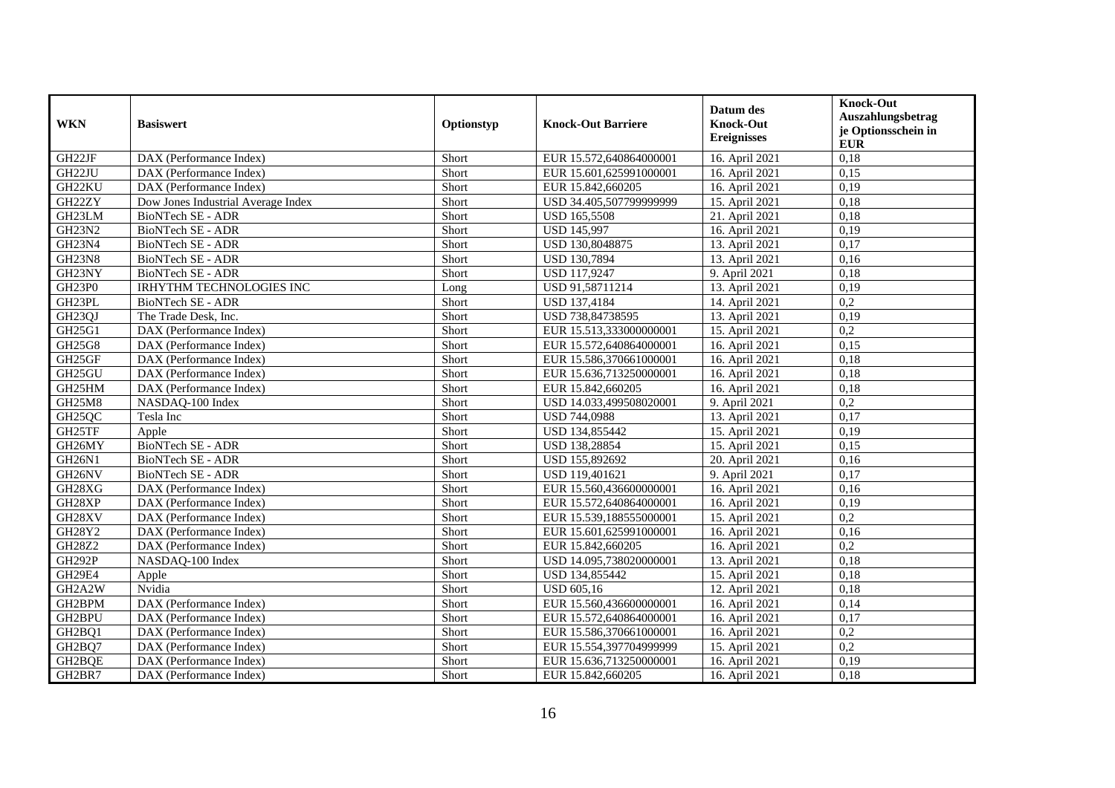| <b>WKN</b>          | <b>Basiswert</b>                   | Optionstyp | <b>Knock-Out Barriere</b> | Datum des<br><b>Knock-Out</b><br><b>Ereignisses</b> | <b>Knock-Out</b><br>Auszahlungsbetrag<br>je Optionsschein in<br><b>EUR</b> |
|---------------------|------------------------------------|------------|---------------------------|-----------------------------------------------------|----------------------------------------------------------------------------|
| GH22JF              | DAX (Performance Index)            | Short      | EUR 15.572,640864000001   | 16. April 2021                                      | 0,18                                                                       |
| GH22JU              | DAX (Performance Index)            | Short      | EUR 15.601,625991000001   | 16. April 2021                                      | 0,15                                                                       |
| GH22KU              | DAX (Performance Index)            | Short      | EUR 15.842,660205         | 16. April 2021                                      | 0.19                                                                       |
| GH22ZY              | Dow Jones Industrial Average Index | Short      | USD 34.405,507799999999   | 15. April 2021                                      | 0,18                                                                       |
| GH23LM              | BioNTech SE - ADR                  | Short      | <b>USD 165,5508</b>       | 21. April 2021                                      | 0,18                                                                       |
| <b>GH23N2</b>       | <b>BioNTech SE - ADR</b>           | Short      | <b>USD 145,997</b>        | 16. April 2021                                      | 0,19                                                                       |
| GH23N4              | BioNTech SE - ADR                  | Short      | USD 130,8048875           | 13. April 2021                                      | 0,17                                                                       |
| <b>GH23N8</b>       | BioNTech SE - ADR                  | Short      | USD 130,7894              | 13. April 2021                                      | 0,16                                                                       |
| GH23NY              | BioNTech SE - ADR                  | Short      | <b>USD 117,9247</b>       | 9. April 2021                                       | 0,18                                                                       |
| GH23P0              | <b>IRHYTHM TECHNOLOGIES INC</b>    | Long       | USD 91,58711214           | 13. April 2021                                      | 0,19                                                                       |
| GH23PL              | <b>BioNTech SE - ADR</b>           | Short      | <b>USD 137,4184</b>       | 14. April 2021                                      | 0,2                                                                        |
| GH23QJ              | The Trade Desk, Inc.               | Short      | USD 738,84738595          | 13. April 2021                                      | 0,19                                                                       |
| GH25G1              | DAX (Performance Index)            | Short      | EUR 15.513,333000000001   | 15. April 2021                                      | 0,2                                                                        |
| GH25G8              | DAX (Performance Index)            | Short      | EUR 15.572,640864000001   | 16. April 2021                                      | 0,15                                                                       |
| GH25GF              | DAX (Performance Index)            | Short      | EUR 15.586,370661000001   | 16. April 2021                                      | 0,18                                                                       |
| GH25GU              | DAX (Performance Index)            | Short      | EUR 15.636,713250000001   | 16. April 2021                                      | 0,18                                                                       |
| GH25HM              | DAX (Performance Index)            | Short      | EUR 15.842,660205         | 16. April 2021                                      | 0,18                                                                       |
| <b>GH25M8</b>       | NASDAQ-100 Index                   | Short      | USD 14.033,499508020001   | 9. April 2021                                       | 0,2                                                                        |
| GH25QC              | Tesla Inc                          | Short      | USD 744,0988              | 13. April 2021                                      | 0,17                                                                       |
| GH25TF              | Apple                              | Short      | USD 134,855442            | 15. April 2021                                      | 0,19                                                                       |
| GH26MY              | <b>BioNTech SE - ADR</b>           | Short      | USD 138,28854             | 15. April 2021                                      | 0,15                                                                       |
| GH <sub>26N1</sub>  | BioNTech SE - ADR                  | Short      | USD 155,892692            | 20. April 2021                                      | 0,16                                                                       |
| GH <sub>26</sub> NV | BioNTech SE - ADR                  | Short      | USD 119,401621            | 9. April 2021                                       | 0,17                                                                       |
| GH28XG              | DAX (Performance Index)            | Short      | EUR 15.560,436600000001   | 16. April 2021                                      | 0,16                                                                       |
| GH28XP              | DAX (Performance Index)            | Short      | EUR 15.572,640864000001   | 16. April 2021                                      | 0,19                                                                       |
| GH28XV              | DAX (Performance Index)            | Short      | EUR 15.539,188555000001   | 15. April 2021                                      | 0,2                                                                        |
| GH28Y2              | DAX (Performance Index)            | Short      | EUR 15.601,625991000001   | 16. April 2021                                      | 0,16                                                                       |
| GH28Z2              | DAX (Performance Index)            | Short      | EUR 15.842,660205         | 16. April 2021                                      | 0,2                                                                        |
| <b>GH292P</b>       | NASDAQ-100 Index                   | Short      | USD 14.095,738020000001   | 13. April 2021                                      | 0,18                                                                       |
| GH29E4              | Apple                              | Short      | USD 134,855442            | 15. April 2021                                      | 0,18                                                                       |
| GH2A2W              | Nvidia                             | Short      | <b>USD 605.16</b>         | 12. April 2021                                      | 0,18                                                                       |
| GH2BPM              | DAX (Performance Index)            | Short      | EUR 15.560,436600000001   | 16. April 2021                                      | 0,14                                                                       |
| GH2BPU              | DAX (Performance Index)            | Short      | EUR 15.572,640864000001   | 16. April 2021                                      | 0,17                                                                       |
| GH2BQ1              | DAX (Performance Index)            | Short      | EUR 15.586,370661000001   | 16. April 2021                                      | 0,2                                                                        |
| GH2BQ7              | DAX (Performance Index)            | Short      | EUR 15.554,397704999999   | 15. April 2021                                      | 0,2                                                                        |
| GH2BQE              | DAX (Performance Index)            | Short      | EUR 15.636,713250000001   | 16. April 2021                                      | 0,19                                                                       |
| GH2BR7              | DAX (Performance Index)            | Short      | EUR 15.842,660205         | 16. April 2021                                      | 0,18                                                                       |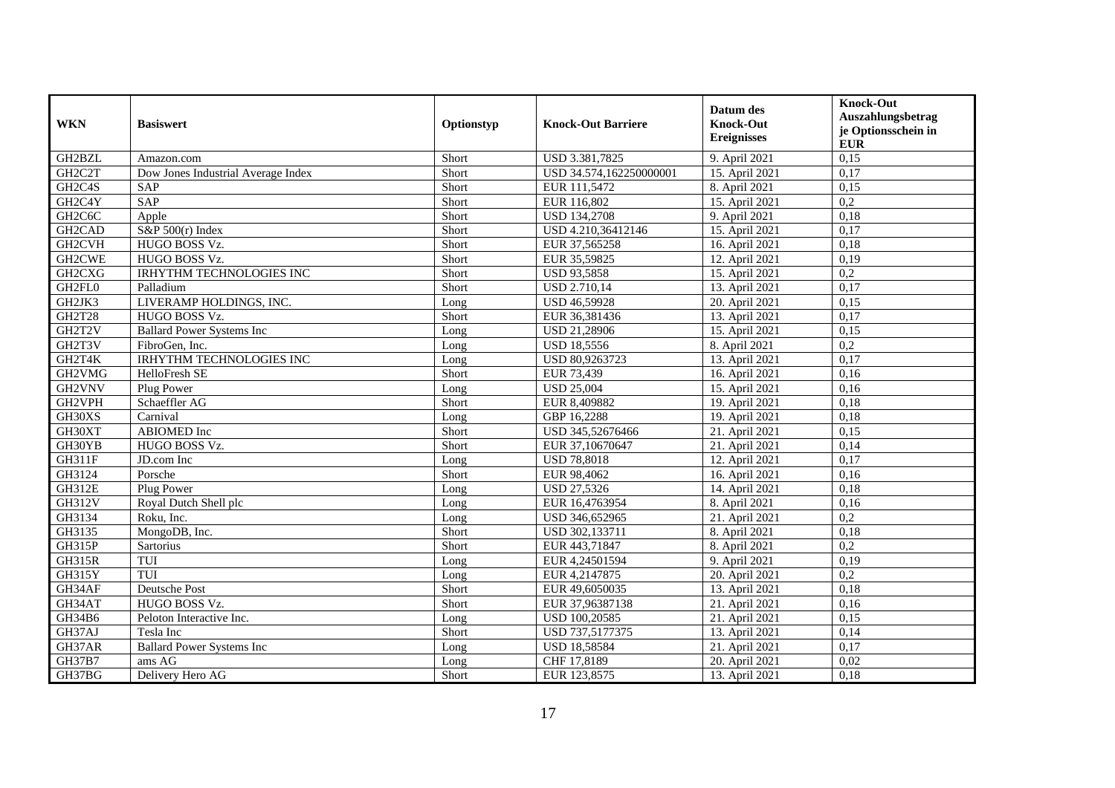| <b>WKN</b>                       | <b>Basiswert</b>                   | Optionstyp | <b>Knock-Out Barriere</b> | Datum des<br><b>Knock-Out</b><br><b>Ereignisses</b> | <b>Knock-Out</b><br>Auszahlungsbetrag<br>je Optionsschein in<br><b>EUR</b> |
|----------------------------------|------------------------------------|------------|---------------------------|-----------------------------------------------------|----------------------------------------------------------------------------|
| GH2BZL                           | Amazon.com                         | Short      | USD 3.381,7825            | 9. April 2021                                       | 0,15                                                                       |
| GH <sub>2</sub> C <sub>2</sub> T | Dow Jones Industrial Average Index | Short      | USD 34.574,162250000001   | 15. April 2021                                      | 0,17                                                                       |
| GH <sub>2</sub> C <sub>4</sub> S | SAP                                | Short      | EUR 111,5472              | 8. April 2021                                       | 0,15                                                                       |
| GH2C4Y                           | SAP                                | Short      | EUR 116,802               | 15. April 2021                                      | 0,2                                                                        |
| GH <sub>2</sub> C <sub>6</sub> C | Apple                              | Short      | <b>USD 134,2708</b>       | 9. April 2021                                       | 0,18                                                                       |
| GH2CAD                           | S&P $500(r)$ Index                 | Short      | USD 4.210,36412146        | 15. April 2021                                      | 0,17                                                                       |
| GH2CVH                           | HUGO BOSS Vz.                      | Short      | EUR 37,565258             | 16. April 2021                                      | 0,18                                                                       |
| GH2CWE                           | HUGO BOSS Vz.                      | Short      | EUR 35,59825              | 12. April 2021                                      | 0,19                                                                       |
| GH <sub>2</sub> CX <sub>G</sub>  | <b>IRHYTHM TECHNOLOGIES INC</b>    | Short      | USD 93,5858               | 15. April 2021                                      | 0,2                                                                        |
| GH2FL0                           | Palladium                          | Short      | <b>USD 2.710,14</b>       | 13. April 2021                                      | 0,17                                                                       |
| GH2JK3                           | LIVERAMP HOLDINGS, INC.            | Long       | USD 46,59928              | 20. April 2021                                      | 0,15                                                                       |
| <b>GH2T28</b>                    | HUGO BOSS Vz.                      | Short      | EUR 36,381436             | 13. April 2021                                      | 0,17                                                                       |
| GH2T2V                           | <b>Ballard Power Systems Inc</b>   | Long       | USD 21,28906              | 15. April 2021                                      | 0,15                                                                       |
| GH2T3V                           | FibroGen, Inc.                     | Long       | <b>USD 18,5556</b>        | 8. April 2021                                       | $\overline{0,2}$                                                           |
| GH2T4K                           | <b>IRHYTHM TECHNOLOGIES INC</b>    | Long       | USD 80,9263723            | 13. April 2021                                      | 0,17                                                                       |
| GH2VMG                           | HelloFresh SE                      | Short      | EUR 73,439                | 16. April 2021                                      | 0,16                                                                       |
| GH2VNV                           | Plug Power                         | Long       | <b>USD 25.004</b>         | 15. April 2021                                      | 0.16                                                                       |
| GH2VPH                           | Schaeffler AG                      | Short      | EUR 8,409882              | 19. April 2021                                      | 0,18                                                                       |
| GH30XS                           | Carnival                           | Long       | GBP 16,2288               | 19. April 2021                                      | 0,18                                                                       |
| GH30XT                           | <b>ABIOMED</b> Inc                 | Short      | USD 345,52676466          | 21. April 2021                                      | 0,15                                                                       |
| GH30YB                           | HUGO BOSS Vz.                      | Short      | EUR 37,10670647           | 21. April 2021                                      | 0,14                                                                       |
| GH311F                           | JD.com Inc                         | Long       | <b>USD 78,8018</b>        | 12. April 2021                                      | 0,17                                                                       |
| GH3124                           | Porsche                            | Short      | EUR 98,4062               | 16. April 2021                                      | 0,16                                                                       |
| <b>GH312E</b>                    | Plug Power                         | Long       | <b>USD 27,5326</b>        | 14. April 2021                                      | 0,18                                                                       |
| GH312V                           | Royal Dutch Shell plc              | Long       | EUR 16,4763954            | 8. April 2021                                       | 0,16                                                                       |
| GH3134                           | Roku, Inc.                         | Long       | USD 346,652965            | 21. April 2021                                      | $\overline{0,2}$                                                           |
| GH3135                           | MongoDB, Inc.                      | Short      | USD 302,133711            | 8. April 2021                                       | 0,18                                                                       |
| GH315P                           | Sartorius                          | Short      | EUR 443,71847             | 8. April 2021                                       | 0,2                                                                        |
| <b>GH315R</b>                    | TUI                                | Long       | EUR 4,24501594            | 9. April 2021                                       | 0,19                                                                       |
| GH315Y                           | TUI                                | Long       | EUR 4,2147875             | 20. April 2021                                      | 0,2                                                                        |
| GH34AF                           | Deutsche Post                      | Short      | EUR 49,6050035            | 13. April 2021                                      | 0,18                                                                       |
| GH34AT                           | HUGO BOSS Vz.                      | Short      | EUR 37,96387138           | 21. April 2021                                      | 0,16                                                                       |
| GH34B6                           | Peloton Interactive Inc.           | Long       | USD 100,20585             | 21. April 2021                                      | 0,15                                                                       |
| GH37AJ                           | Tesla Inc                          | Short      | USD 737,5177375           | 13. April 2021                                      | 0,14                                                                       |
| GH37AR                           | <b>Ballard Power Systems Inc</b>   | Long       | USD 18,58584              | 21. April 2021                                      | 0,17                                                                       |
| GH37B7                           | ams AG                             | Long       | CHF 17,8189               | 20. April 2021                                      | 0,02                                                                       |
| GH37BG                           | Delivery Hero AG                   | Short      | EUR 123,8575              | 13. April 2021                                      | 0,18                                                                       |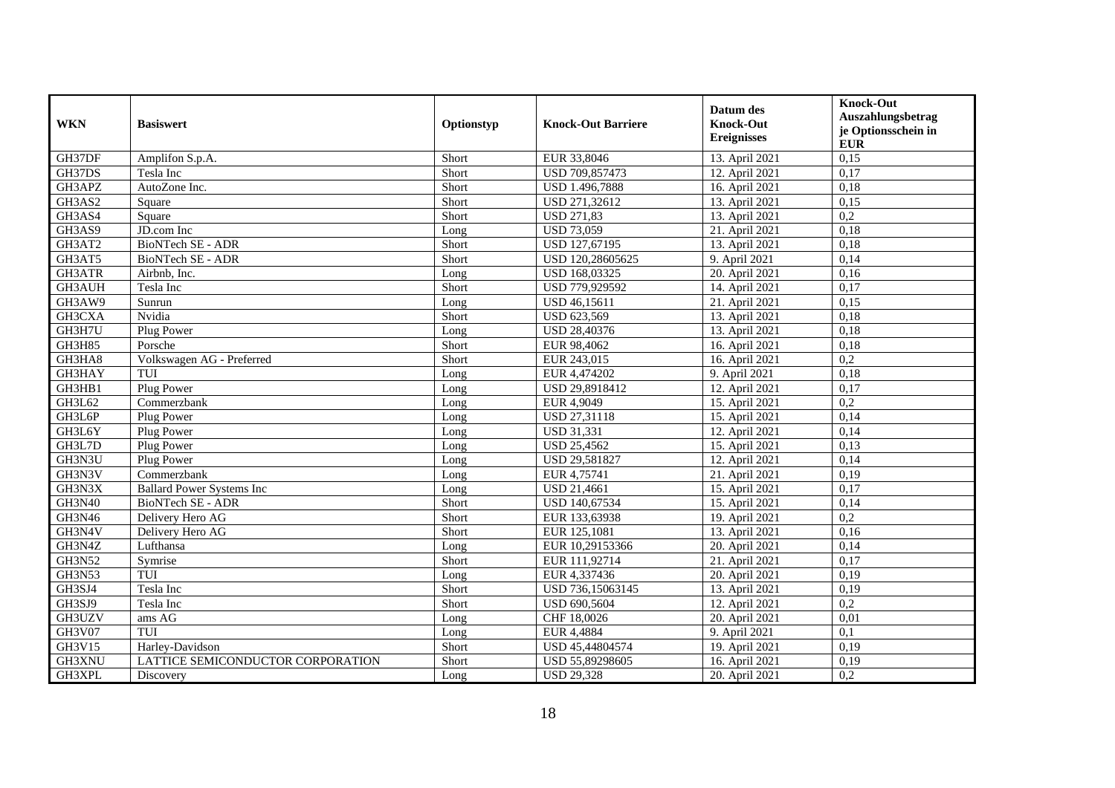| <b>WKN</b>    | <b>Basiswert</b>                  | Optionstyp | <b>Knock-Out Barriere</b> | Datum des<br><b>Knock-Out</b><br><b>Ereignisses</b> | <b>Knock-Out</b><br>Auszahlungsbetrag<br>je Optionsschein in<br><b>EUR</b> |
|---------------|-----------------------------------|------------|---------------------------|-----------------------------------------------------|----------------------------------------------------------------------------|
| GH37DF        | Amplifon S.p.A.                   | Short      | EUR 33,8046               | 13. April 2021                                      | 0,15                                                                       |
| GH37DS        | Tesla Inc                         | Short      | USD 709,857473            | 12. April 2021                                      | 0,17                                                                       |
| GH3APZ        | AutoZone Inc.                     | Short      | USD 1.496,7888            | 16. April 2021                                      | 0,18                                                                       |
| GH3AS2        | Square                            | Short      | USD 271,32612             | 13. April 2021                                      | 0,15                                                                       |
| GH3AS4        | Square                            | Short      | <b>USD 271,83</b>         | 13. April 2021                                      | 0,2                                                                        |
| GH3AS9        | JD.com Inc                        | Long       | <b>USD 73,059</b>         | 21. April 2021                                      | 0,18                                                                       |
| GH3AT2        | <b>BioNTech SE - ADR</b>          | Short      | USD 127,67195             | 13. April 2021                                      | 0,18                                                                       |
| GH3AT5        | BioNTech SE - ADR                 | Short      | USD 120,28605625          | 9. April 2021                                       | 0,14                                                                       |
| GH3ATR        | Airbnb, Inc.                      | Long       | USD 168,03325             | 20. April 2021                                      | 0,16                                                                       |
| GH3AUH        | Tesla Inc                         | Short      | USD 779,929592            | 14. April 2021                                      | 0,17                                                                       |
| GH3AW9        | Sunrun                            | Long       | USD 46,15611              | 21. April 2021                                      | 0,15                                                                       |
| GH3CXA        | Nvidia                            | Short      | USD 623,569               | 13. April 2021                                      | 0,18                                                                       |
| GH3H7U        | Plug Power                        | Long       | USD 28,40376              | 13. April 2021                                      | 0,18                                                                       |
| GH3H85        | Porsche                           | Short      | EUR 98,4062               | 16. April 2021                                      | 0,18                                                                       |
| GH3HA8        | Volkswagen AG - Preferred         | Short      | EUR 243,015               | 16. April 2021                                      | $\overline{0.2}$                                                           |
| GH3HAY        | TUI                               | Long       | EUR 4,474202              | 9. April 2021                                       | 0,18                                                                       |
| GH3HB1        | Plug Power                        | Long       | USD 29.8918412            | 12. April 2021                                      | 0,17                                                                       |
| GH3L62        | Commerzbank                       | Long       | EUR 4,9049                | 15. April 2021                                      | 0,2                                                                        |
| GH3L6P        | Plug Power                        | Long       | USD 27,31118              | 15. April 2021                                      | 0,14                                                                       |
| GH3L6Y        | Plug Power                        | Long       | <b>USD 31,331</b>         | 12. April 2021                                      | 0,14                                                                       |
| GH3L7D        | Plug Power                        | Long       | <b>USD 25,4562</b>        | 15. April 2021                                      | 0,13                                                                       |
| GH3N3U        | Plug Power                        | Long       | USD 29,581827             | 12. April 2021                                      | 0,14                                                                       |
| GH3N3V        | Commerzbank                       | Long       | EUR 4,75741               | 21. April 2021                                      | 0,19                                                                       |
| GH3N3X        | <b>Ballard Power Systems Inc</b>  | Long       | <b>USD 21,4661</b>        | 15. April 2021                                      | 0,17                                                                       |
| <b>GH3N40</b> | <b>BioNTech SE - ADR</b>          | Short      | USD 140,67534             | 15. April 2021                                      | 0,14                                                                       |
| GH3N46        | Delivery Hero AG                  | Short      | EUR 133,63938             | 19. April 2021                                      | $\overline{0.2}$                                                           |
| GH3N4V        | Delivery Hero AG                  | Short      | EUR 125,1081              | 13. April 2021                                      | 0,16                                                                       |
| GH3N4Z        | Lufthansa                         | Long       | EUR 10,29153366           | 20. April 2021                                      | 0,14                                                                       |
| <b>GH3N52</b> | Symrise                           | Short      | EUR 111,92714             | 21. April 2021                                      | 0,17                                                                       |
| <b>GH3N53</b> | TUI                               | Long       | EUR 4,337436              | 20. April 2021                                      | 0,19                                                                       |
| GH3SJ4        | Tesla Inc                         | Short      | USD 736,15063145          | 13. April 2021                                      | 0,19                                                                       |
| GH3SJ9        | Tesla Inc                         | Short      | USD 690,5604              | 12. April 2021                                      | 0,2                                                                        |
| GH3UZV        | ams AG                            | Long       | CHF 18,0026               | 20. April 2021                                      | 0,01                                                                       |
| GH3V07        | TUI                               | Long       | EUR 4,4884                | 9. April 2021                                       | 0,1                                                                        |
| GH3V15        | Harley-Davidson                   | Short      | USD 45,44804574           | 19. April 2021                                      | 0,19                                                                       |
| GH3XNU        | LATTICE SEMICONDUCTOR CORPORATION | Short      | USD 55,89298605           | 16. April 2021                                      | 0,19                                                                       |
| GH3XPL        | Discovery                         | Long       | <b>USD 29,328</b>         | 20. April 2021                                      | 0,2                                                                        |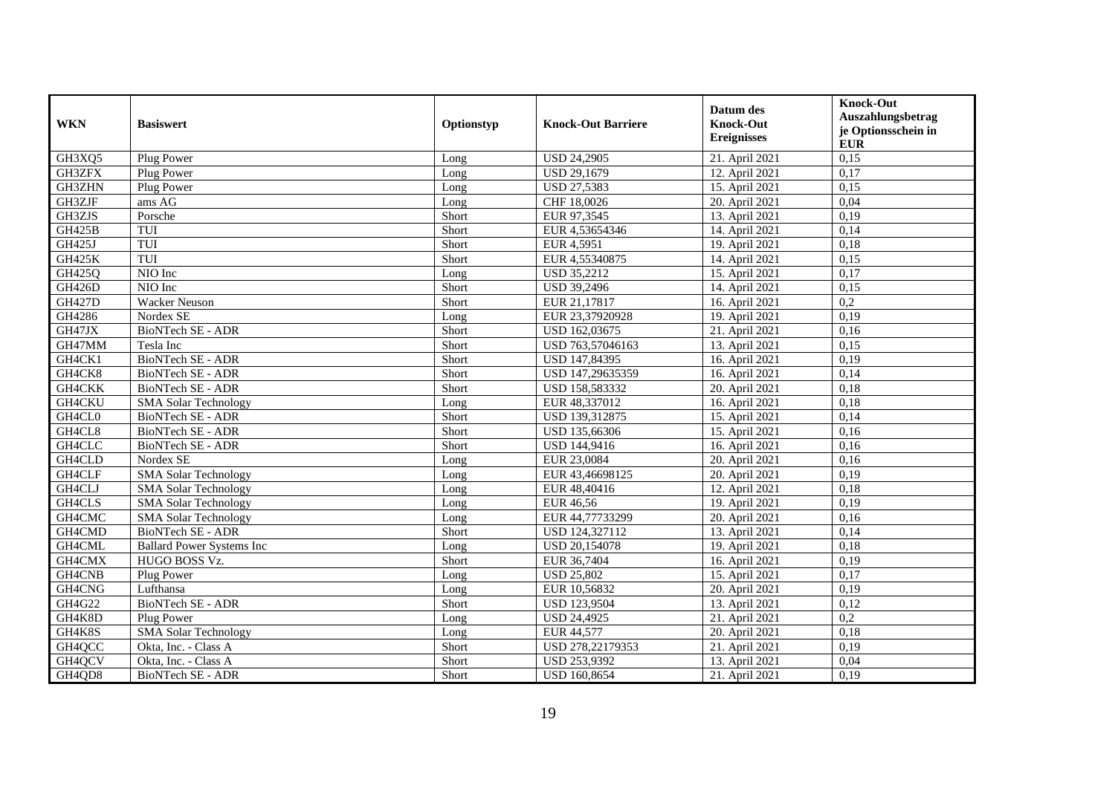| <b>WKN</b>    | <b>Basiswert</b>                 | Optionstyp | <b>Knock-Out Barriere</b> | Datum des<br><b>Knock-Out</b><br><b>Ereignisses</b> | <b>Knock-Out</b><br>Auszahlungsbetrag<br>je Optionsschein in<br><b>EUR</b> |
|---------------|----------------------------------|------------|---------------------------|-----------------------------------------------------|----------------------------------------------------------------------------|
| GH3XQ5        | Plug Power                       | Long       | <b>USD 24,2905</b>        | 21. April 2021                                      | 0,15                                                                       |
| GH3ZFX        | Plug Power                       | Long       | USD 29,1679               | 12. April 2021                                      | 0,17                                                                       |
| GH3ZHN        | Plug Power                       | Long       | <b>USD 27.5383</b>        | 15. April 2021                                      | 0,15                                                                       |
| GH3ZJF        | ams AG                           | Long       | CHF 18,0026               | 20. April 2021                                      | 0,04                                                                       |
| GH3ZJS        | Porsche                          | Short      | EUR 97,3545               | 13. April 2021                                      | 0,19                                                                       |
| <b>GH425B</b> | TUI                              | Short      | EUR 4,53654346            | 14. April 2021                                      | 0,14                                                                       |
| GH425J        | TUI                              | Short      | EUR 4,5951                | 19. April 2021                                      | 0,18                                                                       |
| <b>GH425K</b> | TUI                              | Short      | EUR 4,55340875            | 14. April 2021                                      | 0,15                                                                       |
| GH425Q        | NIO Inc                          | Long       | <b>USD 35,2212</b>        | 15. April 2021                                      | 0,17                                                                       |
| <b>GH426D</b> | NIO Inc                          | Short      | <b>USD 39,2496</b>        | 14. April 2021                                      | 0,15                                                                       |
| <b>GH427D</b> | <b>Wacker Neuson</b>             | Short      | EUR 21,17817              | 16. April 2021                                      | 0,2                                                                        |
| GH4286        | Nordex SE                        | Long       | EUR 23,37920928           | 19. April 2021                                      | 0,19                                                                       |
| GH47JX        | <b>BioNTech SE - ADR</b>         | Short      | USD 162,03675             | 21. April 2021                                      | 0,16                                                                       |
| GH47MM        | Tesla Inc                        | Short      | USD 763,57046163          | 13. April 2021                                      | 0,15                                                                       |
| GH4CK1        | BioNTech SE - ADR                | Short      | USD 147,84395             | 16. April 2021                                      | 0,19                                                                       |
| GH4CK8        | BioNTech SE - ADR                | Short      | USD 147,29635359          | 16. April 2021                                      | 0,14                                                                       |
| GH4CKK        | <b>BioNTech SE - ADR</b>         | Short      | USD 158,583332            | 20. April 2021                                      | 0,18                                                                       |
| <b>GH4CKU</b> | <b>SMA Solar Technology</b>      | Long       | EUR 48,337012             | 16. April 2021                                      | 0,18                                                                       |
| GH4CL0        | BioNTech SE - ADR                | Short      | USD 139,312875            | 15. April 2021                                      | 0,14                                                                       |
| GH4CL8        | <b>BioNTech SE - ADR</b>         | Short      | USD 135,66306             | 15. April 2021                                      | 0,16                                                                       |
| GH4CLC        | BioNTech SE - ADR                | Short      | USD 144,9416              | 16. April 2021                                      | 0,16                                                                       |
| GH4CLD        | Nordex SE                        | Long       | EUR 23,0084               | 20. April 2021                                      | 0,16                                                                       |
| GH4CLF        | <b>SMA Solar Technology</b>      | Long       | EUR 43,46698125           | 20. April 2021                                      | 0,19                                                                       |
| GH4CLJ        | <b>SMA Solar Technology</b>      | Long       | EUR 48,40416              | 12. April 2021                                      | 0,18                                                                       |
| GH4CLS        | <b>SMA Solar Technology</b>      | Long       | <b>EUR 46,56</b>          | 19. April 2021                                      | 0,19                                                                       |
| GH4CMC        | <b>SMA Solar Technology</b>      | Long       | EUR 44,77733299           | 20. April 2021                                      | 0,16                                                                       |
| GH4CMD        | BioNTech SE - ADR                | Short      | USD 124,327112            | 13. April 2021                                      | 0,14                                                                       |
| GH4CML        | <b>Ballard Power Systems Inc</b> | Long       | USD 20,154078             | 19. April 2021                                      | 0,18                                                                       |
| GH4CMX        | HUGO BOSS Vz.                    | Short      | EUR 36,7404               | 16. April 2021                                      | 0,19                                                                       |
| GH4CNB        | Plug Power                       | Long       | <b>USD 25,802</b>         | 15. April 2021                                      | 0,17                                                                       |
| GH4CNG        | Lufthansa                        | Long       | EUR 10,56832              | 20. April 2021                                      | 0,19                                                                       |
| GH4G22        | <b>BioNTech SE - ADR</b>         | Short      | <b>USD 123,9504</b>       | 13. April 2021                                      | 0,12                                                                       |
| GH4K8D        | Plug Power                       | Long       | <b>USD 24,4925</b>        | 21. April 2021                                      | 0,2                                                                        |
| GH4K8S        | <b>SMA Solar Technology</b>      | Long       | EUR 44,577                | 20. April 2021                                      | 0,18                                                                       |
| GH4QCC        | Okta, Inc. - Class A             | Short      | USD 278,22179353          | 21. April 2021                                      | 0,19                                                                       |
| GH4QCV        | Okta, Inc. - Class A             | Short      | USD 253,9392              | 13. April 2021                                      | 0,04                                                                       |
| GH4QD8        | BioNTech SE - ADR                | Short      | <b>USD 160,8654</b>       | 21. April 2021                                      | 0,19                                                                       |